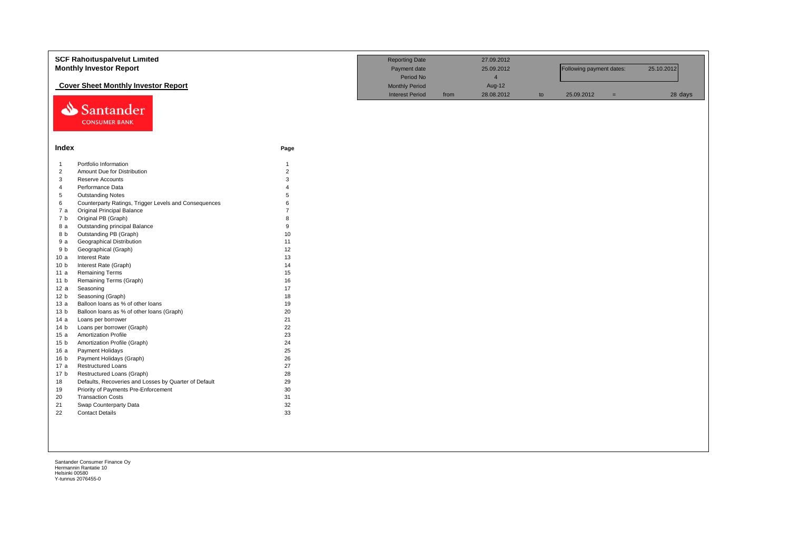|                 | <b>SCF Rahoituspalvelut Limited</b><br><b>Monthly Investor Report</b> |                | <b>Reporting Date</b><br>Payment date |      | 27.09.2012<br>25.09.2012 |    | Following payment dates: |     | 25.10.2012 |
|-----------------|-----------------------------------------------------------------------|----------------|---------------------------------------|------|--------------------------|----|--------------------------|-----|------------|
|                 |                                                                       |                | Period No                             |      | $\overline{4}$           |    |                          |     |            |
|                 | <b>Cover Sheet Monthly Investor Report</b>                            |                | <b>Monthly Period</b>                 |      | Aug-12                   |    |                          |     |            |
|                 |                                                                       |                | <b>Interest Period</b>                | from | 28.08.2012               | to | 25.09.2012               | $=$ | 28 days    |
|                 | Santander<br><b>CONSUMER BANK</b>                                     |                |                                       |      |                          |    |                          |     |            |
| Index           |                                                                       | Page           |                                       |      |                          |    |                          |     |            |
| $\overline{1}$  | Portfolio Information                                                 | $\mathbf{1}$   |                                       |      |                          |    |                          |     |            |
| $\overline{2}$  | Amount Due for Distribution                                           | $\overline{2}$ |                                       |      |                          |    |                          |     |            |
| 3               | Reserve Accounts                                                      | 3              |                                       |      |                          |    |                          |     |            |
| $\overline{4}$  | Performance Data                                                      | $\Delta$       |                                       |      |                          |    |                          |     |            |
| 5               | <b>Outstanding Notes</b>                                              | 5              |                                       |      |                          |    |                          |     |            |
| 6               | Counterparty Ratings, Trigger Levels and Consequences                 | 6              |                                       |      |                          |    |                          |     |            |
| 7a              | <b>Original Principal Balance</b>                                     |                |                                       |      |                          |    |                          |     |            |
| 7b              | Original PB (Graph)                                                   | $\mathsf{R}$   |                                       |      |                          |    |                          |     |            |
| 8 a             | Outstanding principal Balance                                         | 9              |                                       |      |                          |    |                          |     |            |
| 8 b             | Outstanding PB (Graph)                                                | 10             |                                       |      |                          |    |                          |     |            |
| 9a              | <b>Geographical Distribution</b>                                      | 11             |                                       |      |                          |    |                          |     |            |
| 9 b             | Geographical (Graph)                                                  | 12             |                                       |      |                          |    |                          |     |            |
| 10a             | <b>Interest Rate</b>                                                  | 13             |                                       |      |                          |    |                          |     |            |
| 10 <sub>b</sub> | Interest Rate (Graph)                                                 | 14             |                                       |      |                          |    |                          |     |            |
| 11 a            | <b>Remaining Terms</b>                                                | 15             |                                       |      |                          |    |                          |     |            |
| 11 <sub>b</sub> | Remaining Terms (Graph)                                               | 16             |                                       |      |                          |    |                          |     |            |
| 12 a            | Seasoning                                                             | 17             |                                       |      |                          |    |                          |     |            |
| 12 <sub>b</sub> | Seasoning (Graph)                                                     | 18             |                                       |      |                          |    |                          |     |            |
| 13a             | Balloon loans as % of other loans                                     | 19             |                                       |      |                          |    |                          |     |            |
| 13 <sub>b</sub> | Balloon loans as % of other loans (Graph)                             | 20             |                                       |      |                          |    |                          |     |            |
| 14a             | Loans per borrower                                                    | 21             |                                       |      |                          |    |                          |     |            |
| 14 <sub>b</sub> | Loans per borrower (Graph)                                            | 22             |                                       |      |                          |    |                          |     |            |
| 15a             | <b>Amortization Profile</b>                                           | 23             |                                       |      |                          |    |                          |     |            |
| 15 <sub>b</sub> | Amortization Profile (Graph)                                          | 24             |                                       |      |                          |    |                          |     |            |
| 16a             | Payment Holidays                                                      | 25             |                                       |      |                          |    |                          |     |            |
| 16 b            | Payment Holidays (Graph)                                              | 26             |                                       |      |                          |    |                          |     |            |
| 17 a            | Restructured Loans                                                    | 27             |                                       |      |                          |    |                          |     |            |
| 17 <sub>b</sub> | Restructured Loans (Graph)                                            | 28             |                                       |      |                          |    |                          |     |            |
| 18              | Defaults, Recoveries and Losses by Quarter of Default                 | 29             |                                       |      |                          |    |                          |     |            |
| 19              | Priority of Payments Pre-Enforcement                                  | 30             |                                       |      |                          |    |                          |     |            |
| 20              | <b>Transaction Costs</b>                                              | 31             |                                       |      |                          |    |                          |     |            |
| 21              | Swap Counterparty Data                                                | 32             |                                       |      |                          |    |                          |     |            |
| 22              | <b>Contact Details</b>                                                | 33             |                                       |      |                          |    |                          |     |            |
|                 |                                                                       |                |                                       |      |                          |    |                          |     |            |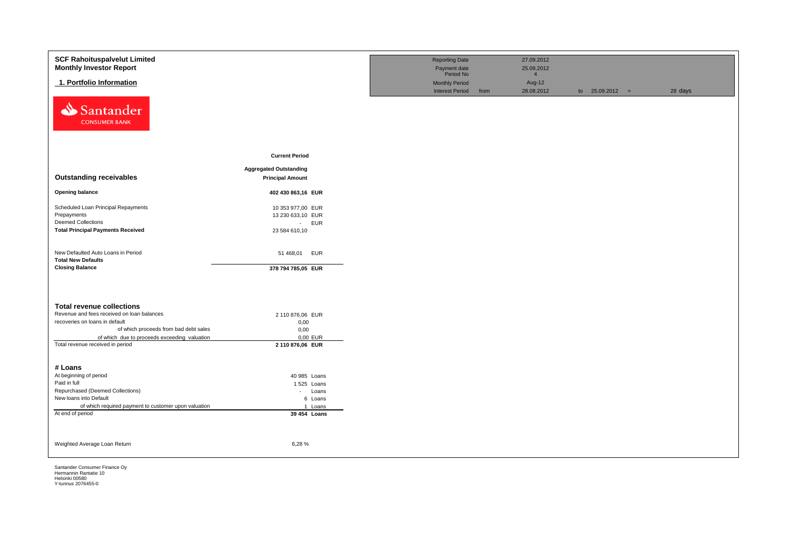| <b>SCF Rahoituspalvelut Limited</b><br><b>Monthly Investor Report</b>        |                               | <b>Reporting Date</b><br>Payment date                        |      | 27.09.2012<br>25.09.2012               |                   |         |
|------------------------------------------------------------------------------|-------------------------------|--------------------------------------------------------------|------|----------------------------------------|-------------------|---------|
| 1. Portfolio Information                                                     |                               | Period No<br><b>Monthly Period</b><br><b>Interest Period</b> | from | $\overline{4}$<br>Aug-12<br>28.08.2012 | to $25.09.2012 =$ | 28 days |
| Santander<br><b>CONSUMER BANK</b>                                            |                               |                                                              |      |                                        |                   |         |
|                                                                              | <b>Current Period</b>         |                                                              |      |                                        |                   |         |
|                                                                              | <b>Aggregated Outstanding</b> |                                                              |      |                                        |                   |         |
| <b>Outstanding receivables</b>                                               | <b>Principal Amount</b>       |                                                              |      |                                        |                   |         |
| <b>Opening balance</b>                                                       | 402 430 863,16 EUR            |                                                              |      |                                        |                   |         |
| Scheduled Loan Principal Repayments                                          | 10 353 977,00 EUR             |                                                              |      |                                        |                   |         |
| Prepayments                                                                  | 13 230 633,10 EUR             |                                                              |      |                                        |                   |         |
| <b>Deemed Collections</b>                                                    | - EUR                         |                                                              |      |                                        |                   |         |
| <b>Total Principal Payments Received</b>                                     | 23 584 610,10                 |                                                              |      |                                        |                   |         |
| New Defaulted Auto Loans in Period<br><b>Total New Defaults</b>              | 51 468,01<br><b>EUR</b>       |                                                              |      |                                        |                   |         |
| <b>Closing Balance</b>                                                       | 378 794 785,05 EUR            |                                                              |      |                                        |                   |         |
|                                                                              |                               |                                                              |      |                                        |                   |         |
| <b>Total revenue collections</b>                                             |                               |                                                              |      |                                        |                   |         |
| Revenue and fees received on loan balances<br>recoveries on loans in default | 2 110 876,06 EUR              |                                                              |      |                                        |                   |         |
| of which proceeds from bad debt sales                                        | 0,00<br>0,00                  |                                                              |      |                                        |                   |         |
| of which due to proceeds exceeding valuation                                 | 0,00 EUR                      |                                                              |      |                                        |                   |         |
| Total revenue received in period                                             | 2 110 876,06 EUR              |                                                              |      |                                        |                   |         |
|                                                                              |                               |                                                              |      |                                        |                   |         |
|                                                                              |                               |                                                              |      |                                        |                   |         |
| # Loans                                                                      |                               |                                                              |      |                                        |                   |         |
| At beginning of period<br>Paid in full                                       | 40 985 Loans                  |                                                              |      |                                        |                   |         |
| Repurchased (Deemed Collections)                                             | 1 525 Loans<br>- Loans        |                                                              |      |                                        |                   |         |
| New loans into Default                                                       | 6 Loans                       |                                                              |      |                                        |                   |         |
| of which required payment to customer upon valuation                         | 1 Loans                       |                                                              |      |                                        |                   |         |
| At end of period                                                             | 39 454 Loans                  |                                                              |      |                                        |                   |         |
|                                                                              |                               |                                                              |      |                                        |                   |         |
| Weighted Average Loan Return                                                 | 6,28%                         |                                                              |      |                                        |                   |         |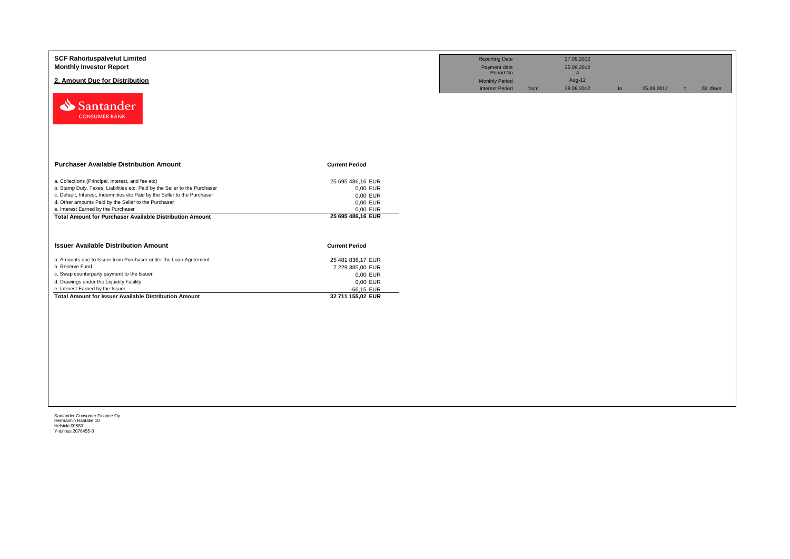| <b>SCF Rahoituspalvelut Limited</b><br><b>Monthly Investor Report</b><br>2. Amount Due for Distribution<br>Santander<br><b>CONSUMER BANK</b>                                                                                                                                                                                                                                   |                                                                                                    | <b>Reporting Date</b><br>Payment date<br>Period No<br><b>Monthly Period</b><br><b>Interest Period</b> | from | 27.09.2012<br>25.09.2012<br>$\overline{4}$<br>Aug-12<br>28.08.2012 | to | 25.09.2012 | $=$ | 28 days |
|--------------------------------------------------------------------------------------------------------------------------------------------------------------------------------------------------------------------------------------------------------------------------------------------------------------------------------------------------------------------------------|----------------------------------------------------------------------------------------------------|-------------------------------------------------------------------------------------------------------|------|--------------------------------------------------------------------|----|------------|-----|---------|
| <b>Purchaser Available Distribution Amount</b>                                                                                                                                                                                                                                                                                                                                 | <b>Current Period</b>                                                                              |                                                                                                       |      |                                                                    |    |            |     |         |
| a. Collections (Principal, interest, and fee etc)<br>b. Stamp Duty, Taxes, Liabilities etc. Paid by the Seller to the Purchaser<br>c. Default, Interest, Indemnities etc Paid by the Seller to the Purchaser<br>d. Other amounts Paid by the Seller to the Purchaser<br>e. Interest Earned by the Purchaser<br><b>Total Amount for Purchaser Available Distribution Amount</b> | 25 695 486,16 EUR<br>0,00 EUR<br>0,00 EUR<br>0,00 EUR<br>0,00 EUR<br>25 695 486,16 EUR             |                                                                                                       |      |                                                                    |    |            |     |         |
| <b>Issuer Available Distribution Amount</b>                                                                                                                                                                                                                                                                                                                                    | <b>Current Period</b>                                                                              |                                                                                                       |      |                                                                    |    |            |     |         |
| a. Amounts due to Issuer from Purchaser under the Loan Agreement<br>b. Reserve Fund<br>c. Swap counterparty payment to the Issuer<br>d. Drawings under the Liquidity Facility<br>e. Interest Earned by the Issuer<br><b>Total Amount for Issuer Available Distribution Amount</b>                                                                                              | 25 481 836,17 EUR<br>7 229 385,00 EUR<br>0,00 EUR<br>0,00 EUR<br>$-66,15$ EUR<br>32 711 155,02 EUR |                                                                                                       |      |                                                                    |    |            |     |         |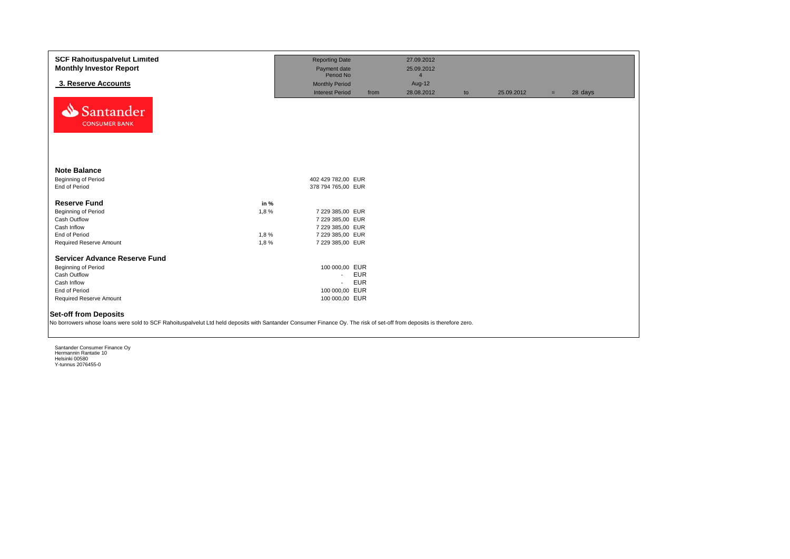| <b>SCF Rahoituspalvelut Limited</b><br><b>Monthly Investor Report</b>                                                                                                                                 |      | <b>Reporting Date</b><br>Payment date |            | 27.09.2012<br>25.09.2012 |    |            |     |         |
|-------------------------------------------------------------------------------------------------------------------------------------------------------------------------------------------------------|------|---------------------------------------|------------|--------------------------|----|------------|-----|---------|
|                                                                                                                                                                                                       |      | Period No                             |            | $\overline{4}$           |    |            |     |         |
| 3. Reserve Accounts                                                                                                                                                                                   |      | <b>Monthly Period</b>                 |            | Aug-12                   |    |            |     |         |
| Santander<br><b>CONSUMER BANK</b>                                                                                                                                                                     |      | <b>Interest Period</b>                | from       | 28.08.2012               | to | 25.09.2012 | $=$ | 28 days |
| <b>Note Balance</b>                                                                                                                                                                                   |      |                                       |            |                          |    |            |     |         |
| Beginning of Period                                                                                                                                                                                   |      | 402 429 782,00 EUR                    |            |                          |    |            |     |         |
| End of Period                                                                                                                                                                                         |      | 378 794 765,00 EUR                    |            |                          |    |            |     |         |
| <b>Reserve Fund</b>                                                                                                                                                                                   | in % |                                       |            |                          |    |            |     |         |
| Beginning of Period                                                                                                                                                                                   | 1,8% | 7 229 385,00 EUR                      |            |                          |    |            |     |         |
| Cash Outflow                                                                                                                                                                                          |      | 7 229 385,00 EUR                      |            |                          |    |            |     |         |
| Cash Inflow                                                                                                                                                                                           |      | 7 229 385,00 EUR                      |            |                          |    |            |     |         |
| End of Period                                                                                                                                                                                         | 1,8% | 7 229 385,00 EUR                      |            |                          |    |            |     |         |
| Required Reserve Amount                                                                                                                                                                               | 1,8% | 7 229 385,00 EUR                      |            |                          |    |            |     |         |
| <b>Servicer Advance Reserve Fund</b>                                                                                                                                                                  |      |                                       |            |                          |    |            |     |         |
| Beginning of Period                                                                                                                                                                                   |      | 100 000,00 EUR                        |            |                          |    |            |     |         |
| Cash Outflow                                                                                                                                                                                          |      | $\sim$                                | <b>EUR</b> |                          |    |            |     |         |
| Cash Inflow                                                                                                                                                                                           |      | $\sim$                                | <b>EUR</b> |                          |    |            |     |         |
| End of Period                                                                                                                                                                                         |      | 100 000,00 EUR                        |            |                          |    |            |     |         |
| Required Reserve Amount                                                                                                                                                                               |      | 100 000,00 EUR                        |            |                          |    |            |     |         |
| <b>Set-off from Deposits</b><br>No borrowers whose loans were sold to SCF Rahoituspalvelut Ltd held deposits with Santander Consumer Finance Oy. The risk of set-off from deposits is therefore zero. |      |                                       |            |                          |    |            |     |         |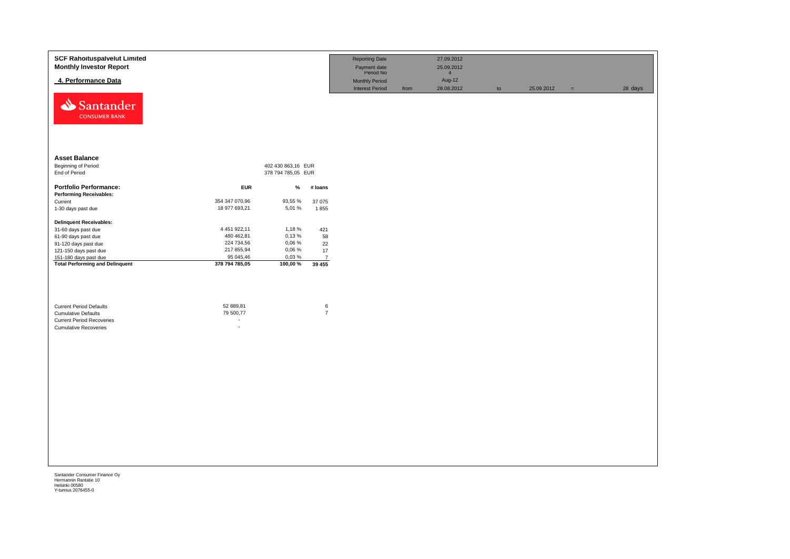| <b>SCF Rahoituspalvelut Limited</b><br><b>Monthly Investor Report</b> |                        |                    |                           | <b>Reporting Date</b><br>Payment date<br>Period No |      | 27.09.2012<br>25.09.2012<br>$\overline{4}$ |    |            |          |         |
|-----------------------------------------------------------------------|------------------------|--------------------|---------------------------|----------------------------------------------------|------|--------------------------------------------|----|------------|----------|---------|
| 4. Performance Data                                                   |                        |                    |                           | <b>Monthly Period</b><br><b>Interest Period</b>    | from | Aug-12<br>28.08.2012                       | to | 25.09.2012 | $\equiv$ | 28 days |
| Santander<br><b>CONSUMER BANK</b>                                     |                        |                    |                           |                                                    |      |                                            |    |            |          |         |
| <b>Asset Balance</b>                                                  |                        |                    |                           |                                                    |      |                                            |    |            |          |         |
| Beginning of Period                                                   |                        | 402 430 863,16 EUR |                           |                                                    |      |                                            |    |            |          |         |
| End of Period                                                         |                        | 378 794 785,05 EUR |                           |                                                    |      |                                            |    |            |          |         |
| <b>Portfolio Performance:</b>                                         | <b>EUR</b>             | $\%$               | # loans                   |                                                    |      |                                            |    |            |          |         |
| <b>Performing Receivables:</b>                                        |                        |                    |                           |                                                    |      |                                            |    |            |          |         |
| Current                                                               | 354 347 070,96         | 93,55 %            | 37 075                    |                                                    |      |                                            |    |            |          |         |
| 1-30 days past due                                                    | 18 977 693,21          | 5,01 %             | 1855                      |                                                    |      |                                            |    |            |          |         |
| <b>Delinquent Receivables:</b>                                        |                        |                    |                           |                                                    |      |                                            |    |            |          |         |
| 31-60 days past due                                                   | 4 451 922,11           | 1,18%              | 421                       |                                                    |      |                                            |    |            |          |         |
| 61-90 days past due                                                   | 480 462,81             | 0,13%              | 58                        |                                                    |      |                                            |    |            |          |         |
| 91-120 days past due                                                  | 224 734,56             | 0,06%              | 22                        |                                                    |      |                                            |    |            |          |         |
| 121-150 days past due                                                 | 217 855,94             | 0,06 %             | $17\,$                    |                                                    |      |                                            |    |            |          |         |
| 151-180 days past due                                                 | 95 045,46              | 0,03%              | $\overline{7}$            |                                                    |      |                                            |    |            |          |         |
| <b>Total Performing and Delinquent</b>                                | 378 794 785,05         | 100,00 %           | 39 455                    |                                                    |      |                                            |    |            |          |         |
| <b>Current Period Defaults</b><br><b>Cumulative Defaults</b>          | 52 889,81<br>79 500,77 |                    | $\,6\,$<br>$\overline{7}$ |                                                    |      |                                            |    |            |          |         |
| <b>Current Period Recoveries</b>                                      |                        |                    |                           |                                                    |      |                                            |    |            |          |         |
| <b>Cumulative Recoveries</b>                                          | $\sim$                 |                    |                           |                                                    |      |                                            |    |            |          |         |
|                                                                       |                        |                    |                           |                                                    |      |                                            |    |            |          |         |
|                                                                       |                        |                    |                           |                                                    |      |                                            |    |            |          |         |
|                                                                       |                        |                    |                           |                                                    |      |                                            |    |            |          |         |
|                                                                       |                        |                    |                           |                                                    |      |                                            |    |            |          |         |
|                                                                       |                        |                    |                           |                                                    |      |                                            |    |            |          |         |
|                                                                       |                        |                    |                           |                                                    |      |                                            |    |            |          |         |
|                                                                       |                        |                    |                           |                                                    |      |                                            |    |            |          |         |
|                                                                       |                        |                    |                           |                                                    |      |                                            |    |            |          |         |
|                                                                       |                        |                    |                           |                                                    |      |                                            |    |            |          |         |
|                                                                       |                        |                    |                           |                                                    |      |                                            |    |            |          |         |
|                                                                       |                        |                    |                           |                                                    |      |                                            |    |            |          |         |
|                                                                       |                        |                    |                           |                                                    |      |                                            |    |            |          |         |
|                                                                       |                        |                    |                           |                                                    |      |                                            |    |            |          |         |
|                                                                       |                        |                    |                           |                                                    |      |                                            |    |            |          |         |
|                                                                       |                        |                    |                           |                                                    |      |                                            |    |            |          |         |
|                                                                       |                        |                    |                           |                                                    |      |                                            |    |            |          |         |
|                                                                       |                        |                    |                           |                                                    |      |                                            |    |            |          |         |
|                                                                       |                        |                    |                           |                                                    |      |                                            |    |            |          |         |
|                                                                       |                        |                    |                           |                                                    |      |                                            |    |            |          |         |
|                                                                       |                        |                    |                           |                                                    |      |                                            |    |            |          |         |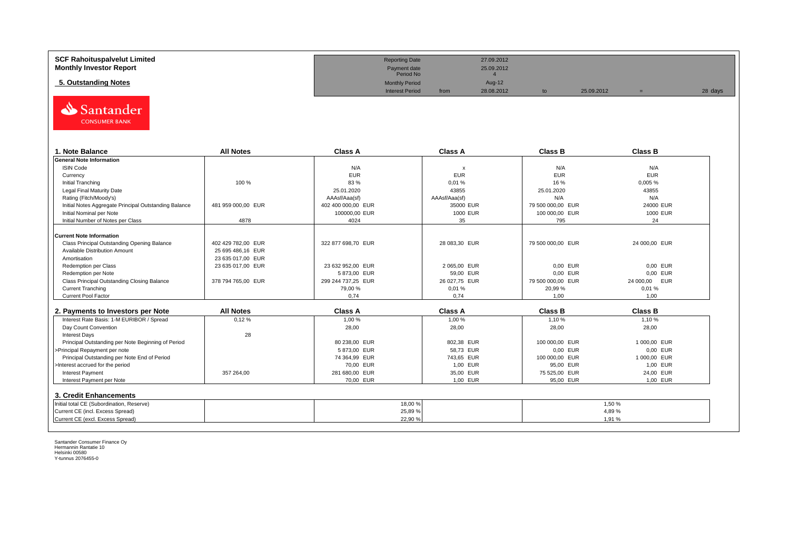| <b>SCF Rahoituspalvelut Limited</b> | <b>Reporting Date</b>     |      | 27.09.2012 |            |         |
|-------------------------------------|---------------------------|------|------------|------------|---------|
| <b>Monthly Investor Report</b>      | Payment date<br>Period No |      | 25.09.2012 |            |         |
| 5. Outstanding Notes                | <b>Monthly Period</b>     |      | Aug-12     |            |         |
|                                     | <b>Interest Period</b>    | from | 28.08.2012 | 25.09.2012 | 28 days |



| 1. Note Balance                                       | <b>All Notes</b>   | <b>Class A</b>     | <b>Class A</b>            | <b>Class B</b>    | <b>Class B</b> |
|-------------------------------------------------------|--------------------|--------------------|---------------------------|-------------------|----------------|
| <b>General Note Information</b>                       |                    |                    |                           |                   |                |
| <b>ISIN Code</b>                                      |                    | N/A                | $\boldsymbol{\mathsf{x}}$ | N/A               | N/A            |
| Currency                                              |                    | <b>EUR</b>         | <b>EUR</b>                | <b>EUR</b>        | <b>EUR</b>     |
| Initial Tranching                                     | 100 %              | 83 %               | 0,01%                     | 16 %              | 0,005 %        |
| Legal Final Maturity Date                             |                    | 25.01.2020         | 43855                     | 25.01.2020        | 43855          |
| Rating (Fitch/Moody's)                                |                    | AAAsf/Aaa(sf)      | AAAsf/Aaa(sf)             | N/A               | N/A            |
| Initial Notes Aggregate Principal Outstanding Balance | 481 959 000.00 EUR | 402 400 000.00 EUR | 35000 EUR                 | 79 500 000,00 EUR | 24000 EUR      |
| Initial Nominal per Note                              |                    | 100000.00 EUR      | 1000 EUR                  | 100 000,00 EUR    | 1000 EUR       |
| Initial Number of Notes per Class                     | 4878               | 4024               | 35                        | 795               | 24             |
|                                                       |                    |                    |                           |                   |                |
| Current Note Information                              |                    |                    |                           |                   |                |
| Class Principal Outstanding Opening Balance           | 402 429 782.00 EUR | 322 877 698,70 EUR | 28 083,30 EUR             | 79 500 000,00 EUR | 24 000,00 EUR  |
| Available Distribution Amount                         | 25 695 486.16 EUR  |                    |                           |                   |                |
| Amortisation                                          | 23 635 017.00 EUR  |                    |                           |                   |                |
| Redemption per Class                                  | 23 635 017,00 EUR  | 23 632 952,00 EUR  | 2 065,00 EUR              | 0,00 EUR          | 0,00 EUR       |
| Redemption per Note                                   |                    | 5873.00 EUR        | 59,00 EUR                 | 0.00 EUR          | 0.00 EUR       |
| Class Principal Outstanding Closing Balance           | 378 794 765,00 EUR | 299 244 737,25 EUR | 26 027,75 EUR             | 79 500 000,00 EUR | 24 000,00 EUR  |
| <b>Current Tranching</b>                              |                    | 79,00 %            | 0,01%                     | 20,99 %           | 0.01%          |
| <b>Current Pool Factor</b>                            |                    | 0.74               | 0.74                      | 1.00              | 1.00           |

| 2. Payments to Investors per Note                  | <b>All Notes</b> | <b>Class A</b> | <b>Class A</b> | <b>Class B</b> | <b>Class B</b> |
|----------------------------------------------------|------------------|----------------|----------------|----------------|----------------|
| Interest Rate Basis: 1-M EURIBOR / Spread          | 0,12%            | 1,00 %         | 1,00 %         | 1,10%          | 1,10 %         |
| Day Count Convention                               |                  | 28,00          | 28,00          | 28,00          | 28,00          |
| <b>Interest Days</b>                               | 28               |                |                |                |                |
| Principal Outstanding per Note Beginning of Period |                  | 80 238,00 EUR  | 802.38 EUR     | 100 000.00 EUR | 1 000.00 EUR   |
| >Principal Repayment per note                      |                  | 5873.00 EUR    | 58.73 EUR      | 0.00 EUR       | 0.00 EUR       |
| Principal Outstanding per Note End of Period       |                  | 74 364.99 EUR  | 743.65 EUR     | 100 000.00 EUR | 1 000.00 EUR   |
| >Interest accrued for the period                   |                  | 70.00 EUR      | 1.00 EUR       | 95.00 EUR      | 1.00 EUR       |
| <b>Interest Payment</b>                            | 357 264.00       | 281 680.00 EUR | 35.00 EUR      | 75 525.00 EUR  | 24.00 EUR      |
| Interest Payment per Note                          |                  | 70.00 EUR      | 1.00 EUR       | 95.00 EUR      | 1.00 EUR       |
| 3. Credit Enhancements                             |                  |                |                |                |                |
| Initial total CE (Subordination, Reserve)          |                  | 18,00%         |                |                | 1.50 %         |
| Current CE (incl. Excess Spread)                   |                  | 25,89 %        |                |                | 4.89%          |
| Current CE (excl. Excess Spread)                   |                  | 22,90 %        |                |                | 1.91%          |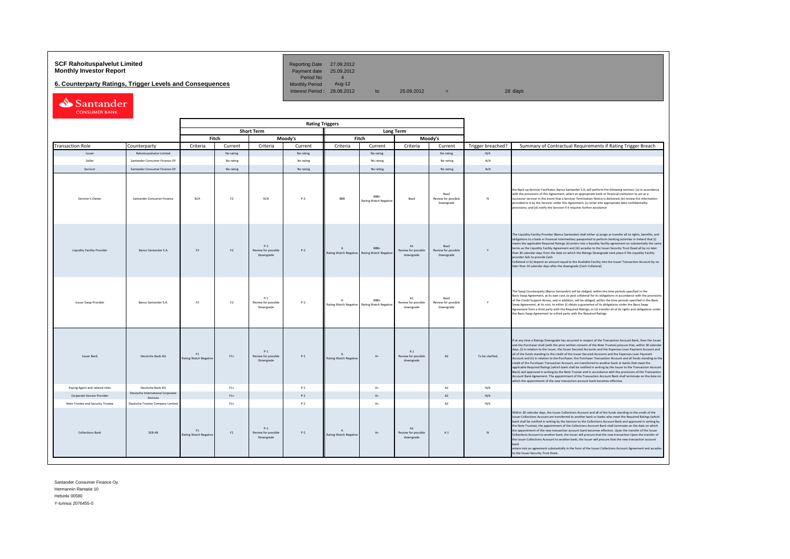# **SCF Rahoituspalvelut Limited Community Community Community Reporting Date 27.09.2012<br>
<b>Monthly Investor Report** Payment date 25.09.2012

**6. Counterparty Ratings, Trigger Levels and Consequences** 

Period No 4<br>Monthly Period Aug-12  $I = \frac{1}{28.08 \times 2012}$  to 25.09.2012 = 28 days

| Santander            |  |
|----------------------|--|
| <b>CONSUMER BANK</b> |  |

|                                    |                                              | <b>Rating Triggers</b>             |                |                                           |           |                                           |                                                     |                                        |                                          |                   |                                                                                                                                                                                                                                                                                                                                                                                                                                                                                                                                                                                                                                                                                                                                                                                                                                                                                                                                                                                                                                                                                                      |
|------------------------------------|----------------------------------------------|------------------------------------|----------------|-------------------------------------------|-----------|-------------------------------------------|-----------------------------------------------------|----------------------------------------|------------------------------------------|-------------------|------------------------------------------------------------------------------------------------------------------------------------------------------------------------------------------------------------------------------------------------------------------------------------------------------------------------------------------------------------------------------------------------------------------------------------------------------------------------------------------------------------------------------------------------------------------------------------------------------------------------------------------------------------------------------------------------------------------------------------------------------------------------------------------------------------------------------------------------------------------------------------------------------------------------------------------------------------------------------------------------------------------------------------------------------------------------------------------------------|
|                                    |                                              |                                    |                | <b>Short Term</b>                         |           | <b>Long Term</b>                          |                                                     |                                        |                                          |                   |                                                                                                                                                                                                                                                                                                                                                                                                                                                                                                                                                                                                                                                                                                                                                                                                                                                                                                                                                                                                                                                                                                      |
|                                    |                                              |                                    | Fitch          |                                           | Moody's   | Fitch<br>Moody's                          |                                                     |                                        |                                          |                   |                                                                                                                                                                                                                                                                                                                                                                                                                                                                                                                                                                                                                                                                                                                                                                                                                                                                                                                                                                                                                                                                                                      |
| <b>Transaction Role</b>            | Counterparty                                 | Criteria                           | Current        | Criteria                                  | Current   | Criteria                                  | Current                                             | Criteria                               | Current                                  | Trigger breached? | Summary of Contractual Requirements if Rating Trigger Breach                                                                                                                                                                                                                                                                                                                                                                                                                                                                                                                                                                                                                                                                                                                                                                                                                                                                                                                                                                                                                                         |
| Issuer                             | Rahoituspalvelut Limited                     |                                    | No rating      |                                           | No rating |                                           | No rating                                           |                                        | No rating                                | N/A               |                                                                                                                                                                                                                                                                                                                                                                                                                                                                                                                                                                                                                                                                                                                                                                                                                                                                                                                                                                                                                                                                                                      |
| Seller                             | Santander Consumer Finance OY                |                                    | No rating      |                                           | No rating |                                           | No rating                                           |                                        | No rating                                | N/A               |                                                                                                                                                                                                                                                                                                                                                                                                                                                                                                                                                                                                                                                                                                                                                                                                                                                                                                                                                                                                                                                                                                      |
| Servicer                           | Santander Consumer Finance OY                |                                    | No rating      |                                           | No rating |                                           | No rating                                           |                                        | No rating                                | N/A               |                                                                                                                                                                                                                                                                                                                                                                                                                                                                                                                                                                                                                                                                                                                                                                                                                                                                                                                                                                                                                                                                                                      |
| Servicer's Owner                   | Santander Consumer Finance                   | N/A                                | F <sub>2</sub> | N/A                                       | $P-2$     | <b>BBB</b>                                | RRR.<br><b>Rating Watch Negative</b>                | Baa3                                   | Raa2<br>Review for possible<br>Downgrade | N                 | the Back-up Servicer Facilitator, Banco Santander S.A, will perform the following services: (a) in accordance<br>with the provisions of this Agreement, select an appropriate bank or financial institution to act as a<br>uccessor servicer in the event that a Servicer Termination Notice is delivered; (b) review the information<br>rovided to it by the Servicer under this Agreement; (c) enter into appropriate data confidentiality<br>rovisions; and (d) notify the Servicer if it requires further assistance                                                                                                                                                                                                                                                                                                                                                                                                                                                                                                                                                                             |
| <b>Liquidity Facility Provider</b> | Banco Santander S.A.                         | F <sub>2</sub>                     | F <sub>2</sub> | $P-1$<br>Review for possible<br>Downgrade | $P-2$     | <b>Rating Watch Negative</b>              | BBB+<br><b>Rating Watch Negative</b>                | A1<br>Review for possible<br>downgrade | Baa2<br>Review for possible<br>Downgrade |                   | The Liquidity Facility Provider (Banco Santander) shall either a) assign or transfer all its rights, benefits, and<br>bligations to a bank or financial intermediary passported to perform banking activities in Ireland that (i)<br>neets the applicable Required Ratings (ii) enters into a liquidity facility agreement on substantially the same<br>erms as the Liquidity Facility Agreement and (iii) accedes to the Issuer Security Trust Deed all by no later<br>han 30 calendar days from the date on which the Ratings Downgrade took place if the Liquidity Facility<br>provider fails to provide Cash<br>Collateral or b) deposit an amount equal to the Available Facility into the Issuer Transaction Account by no<br>ater than 14 calendar days after the downgrade (Cash Collateral)                                                                                                                                                                                                                                                                                                 |
| <b>Issuer Swap Provider</b>        | Banco Santander S.A.                         | F <sub>2</sub>                     | F2             | $P-1$<br>Review for possible<br>Downgrade | $P-2$     | $\Lambda$                                 | RRR-<br>Rating Watch Negative Rating Watch Negative | A1<br>Review for possible<br>downgrade | Raa2<br>Review for possible<br>Downgrade | Y                 | The Swap Counterparty (Banco Santander) will be obliged, within the time periods specified in the<br>Basis Swap Agreement, at its own cost, to post collateral for its obligations in accordance with the provisions<br>of the Credit Support Annex, and in addition, will be obliged, within the time periods specified in the Basis<br>Swap Agreement, at its cost, to either (i) obtain a guarantee of its obligations under the Basis Swap<br>Agreement from a third party with the Required Ratings; or (ii) transfer all of its rights and obligations under<br>the Basis Swap Agreement to a third party with the Required Ratings                                                                                                                                                                                                                                                                                                                                                                                                                                                            |
| <b>Issuer Bank</b>                 | Deutsche Bank AG                             | F1<br><b>Rating Watch Negative</b> | $F1+$          | $P-1$<br>Review for possible<br>Downgrade | $P-1$     | $\Lambda$<br><b>Rating Watch Negative</b> | $A+$                                                | A1<br>Review for possible<br>downgrade | A2                                       | To be clarified   | If at any time a Ratings Downgrade has occurred in respect of the Transaction Account Bank, then the Issuer<br>and the Purchaser shall (with the prior written consent of the Note Trustee) procure that, within 30 calendar<br>days, (i) in relation to the Issuer, the Issuer Secured Accounts and the Expenses Loan Payment Account and<br>all of the funds standing to the credit of the Issuer Secured Accounts and the Expenses Loan Payment<br>Account and (ii) in relation to the Purchaser, the Purchaser Transaction Account and all funds standing to the<br>credit of the Purchaser Transaction Account, are transferred to another bank or banks that meet the<br>applicable Required Ratings (which bank shall be notified in writing by the Issuer to the Transaction Account<br>Bank) and approved in writing by the Note Trustee and in accordance with the provisions of the Transaction<br>Account Bank Agreement. The appointment of the Transaction Account Bank shall terminate on the date on<br>which the appointment of the new transaction account bank becomes effective. |
| Paying Agent and related roles     | Deutsche Bank AG                             |                                    | $F1+$          |                                           | $P-1$     |                                           | $A+$                                                |                                        | A2                                       | N/A               |                                                                                                                                                                                                                                                                                                                                                                                                                                                                                                                                                                                                                                                                                                                                                                                                                                                                                                                                                                                                                                                                                                      |
| Corporate Service Provider         | Deutsche International Corporate<br>Services |                                    | $F1+$          |                                           | $P-1$     |                                           | $\Lambda$                                           |                                        | A2                                       | N/A               |                                                                                                                                                                                                                                                                                                                                                                                                                                                                                                                                                                                                                                                                                                                                                                                                                                                                                                                                                                                                                                                                                                      |
| Note Trustee and Security Trustee  | Deutsche Trustee Company Limited             |                                    | $F1+$          |                                           | $P-1$     |                                           | $A+$                                                |                                        | A <sub>2</sub>                           | N/A               |                                                                                                                                                                                                                                                                                                                                                                                                                                                                                                                                                                                                                                                                                                                                                                                                                                                                                                                                                                                                                                                                                                      |
| <b>Collections Bank</b>            | SEB AB                                       | F1<br>Rating Watch Negative        | F1             | $P-1$<br>Review for possible<br>Downgrade | $P-1$     | Rating Watch Negative                     | $A+$                                                | A1<br>Review for possible<br>downgrade | A1                                       |                   | Vithin 30 calendar days, the Issuer Collections Account and all of the funds standing to the credit of the<br>ssuer Collections Account are transferred to another bank or banks who meet the Required Ratings (which<br>ank shall be notified in writing by the Servicer to the Collections Account Bank and approved in writing by<br>he Note Trustee); the appointment of the Collections Account Bank shall terminate on the date on which<br>he appointment of the new transaction account bank becomes effective. Upon the transfer of the Issuer<br>ollections Account to another bank, the Issuer will procure that the new transaction Upon the transfer of<br>he Issuer Collections Acoount to another bank, the Issuer will procure that the new transaction account<br>nters into an agreement substantially in the form of the Issuer Collections Account Agreement and accedes<br>o the Issuer Security Trust Deed                                                                                                                                                                     |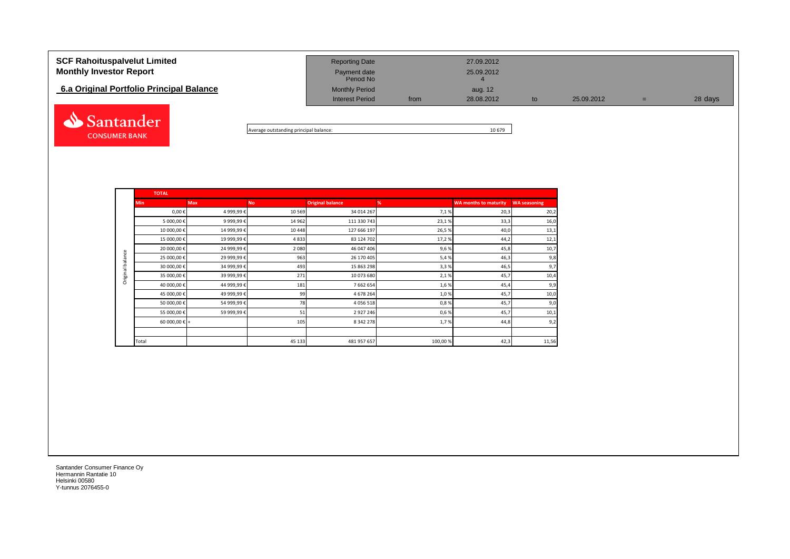| <b>SCF Rahoituspalvelut Limited</b><br><b>Monthly Investor Report</b><br>6.a Original Portfolio Principal Balance | <b>Reporting Date</b><br>Payment date<br>Period No<br><b>Monthly Period</b> |      | 27.09.2012<br>25.09.2012<br>aug. 12 |    |            |   |         |
|-------------------------------------------------------------------------------------------------------------------|-----------------------------------------------------------------------------|------|-------------------------------------|----|------------|---|---------|
|                                                                                                                   | <b>Interest Period</b>                                                      | from | 28.08.2012                          | to | 25.09.2012 | = | 28 days |
|                                                                                                                   |                                                                             |      |                                     |    |            |   |         |

Average outstanding principal balance: 10 679

|                  | <b>TOTAL</b>           |             |           |                         |         |                              |                     |  |  |  |  |  |
|------------------|------------------------|-------------|-----------|-------------------------|---------|------------------------------|---------------------|--|--|--|--|--|
|                  | <b>Min</b>             | <b>Max</b>  | <b>No</b> | <b>Original balance</b> | %       | <b>WA months to maturity</b> | <b>WA seasoning</b> |  |  |  |  |  |
|                  | $0,00 \in$             | 4 999,99€   | 10 5 69   | 34 014 267              | 7,1%    | 20,3                         | 20,2                |  |  |  |  |  |
|                  | 5 000,00 €             | 9 999,99€   | 14 962    | 111 330 743             | 23,1%   | 33,3                         | 16,0                |  |  |  |  |  |
|                  | 10 000,00€             | 14 999,99€  | 10 4 48   | 127 666 197             | 26,5%   | 40,0                         | 13,1                |  |  |  |  |  |
|                  | 15 000,00€             | 19 999,99€  | 4833      | 83 124 702              | 17,2%   | 44,2                         | 12,1                |  |  |  |  |  |
|                  | 20 000,00€             | 24 999,99€  | 2 0 8 0   | 46 047 406              | 9,6%    | 45,8                         | 10,7                |  |  |  |  |  |
| Original balance | 25 000,00€             | 29 999,99€  | 963       | 26 170 405              | 5,4%    | 46,3                         | 9,8                 |  |  |  |  |  |
|                  | 30 000,00 €            | 34 999,99 € | 493       | 15 863 298              | 3,3%    | 46,5                         | 9,7                 |  |  |  |  |  |
|                  | 35 000,00€             | 39 999,99€  | 271       | 10 073 680              | 2,1%    | 45,7                         | 10,4                |  |  |  |  |  |
|                  | 40 000,00€             | 44 999,99€  | 181       | 7 662 654               | 1,6%    | 45,4                         | 9,9                 |  |  |  |  |  |
|                  | 45 000,00€             | 49 999,99€  | 99        | 4 678 264               | 1,0%    | 45,7                         | 10,0                |  |  |  |  |  |
|                  | 50 000,00€             | 54 999,99€  | 78        | 4 0 5 6 5 1 8           | 0,8%    | 45,7                         | 9,0                 |  |  |  |  |  |
|                  | 55 000,00€             | 59 999,99 € | 51        | 2927246                 | 0,6%    | 45,7                         | 10,1                |  |  |  |  |  |
|                  | 60 000,00 $\epsilon$ + |             | 105       | 8 3 4 2 2 7 8           | 1,7%    | 44,8                         | 9,2                 |  |  |  |  |  |
|                  |                        |             |           |                         |         |                              |                     |  |  |  |  |  |
|                  | Total                  |             | 45 133    | 481 957 657             | 100,00% | 42,3                         | 11,56               |  |  |  |  |  |

Santander Consumer Finance Oy Hermannin Rantatie 10 Helsinki 00580 Y-tunnus 2076455-0

**CONSUMER BANK**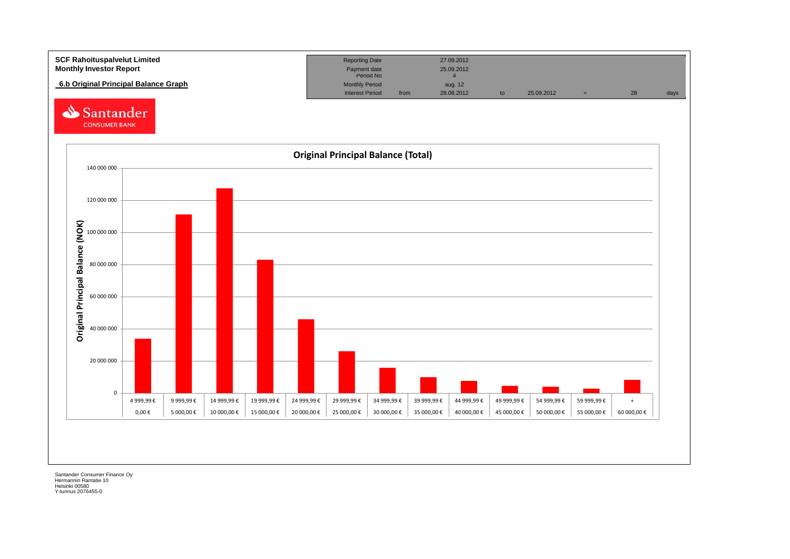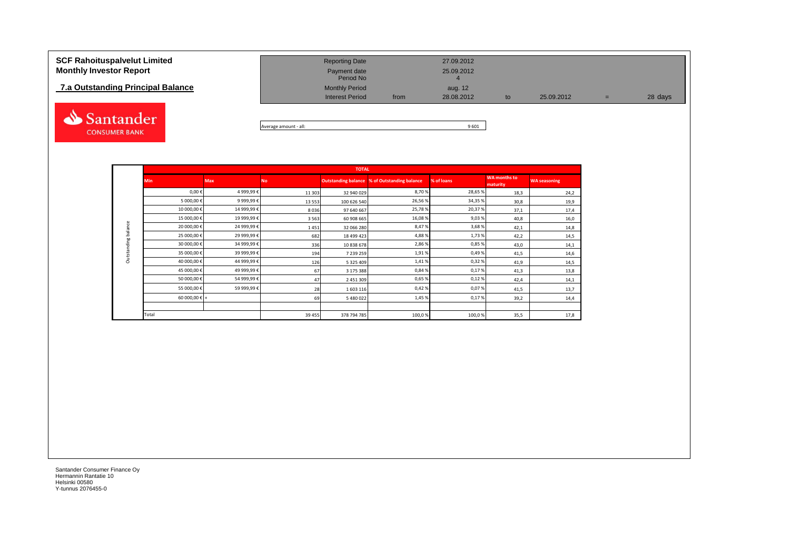# **7.a Outstanding Principal Balance**



| <b>SCF Rahoituspalvelut Limited</b><br><b>Monthly Investor Report</b> | <b>Reporting Date</b><br>Payment date |      | 27.09.2012<br>25.09.2012 |    |            |     |         |
|-----------------------------------------------------------------------|---------------------------------------|------|--------------------------|----|------------|-----|---------|
| 7.a Outstanding Principal Balance                                     | Period No<br><b>Monthly Period</b>    |      | aug. 12                  |    |            |     |         |
|                                                                       | <b>Interest Period</b>                | from | 28.08.2012               | to | 25.09.2012 | $=$ | 28 days |
|                                                                       |                                       |      |                          |    |            |     |         |

Average amount - all: 9 601

|                     |                        |            |           | <b>TOTAL</b> |                                                     |            |                          |                     |
|---------------------|------------------------|------------|-----------|--------------|-----------------------------------------------------|------------|--------------------------|---------------------|
|                     | <b>Min</b>             | <b>Max</b> | <b>No</b> |              | <b>Outstanding balance % of Outstanding balance</b> | % of loans | WA months to<br>maturity | <b>WA seasoning</b> |
|                     | $0,00 \in$             | 4 999,99€  | 11 30 3   | 32 940 029   | 8,70%                                               | 28,65%     | 18,3                     | 24,2                |
|                     | 5 000,00€              | 9 999,99€  | 13553     | 100 626 540  | 26,56%                                              | 34,35%     | 30,8                     | 19,9                |
|                     | 10 000,00€             | 14 999,99€ | 8036      | 97 640 667   | 25,78%                                              | 20,37%     | 37,1                     | 17,4                |
|                     | 15 000,00€             | 19 999,99€ | 3 5 6 3   | 60 908 665   | 16,08%                                              | 9,03%      | 40,8                     | 16,0                |
| Outstanding balance | 20 000,00€             | 24 999,99€ | 1451      | 32 066 280   | 8,47%                                               | 3,68%      | 42,1                     | 14,8                |
|                     | 25 000,00€             | 29 999,99€ | 682       | 18 499 423   | 4,88%                                               | 1,73%      | 42,2                     | 14,5                |
|                     | 30 000,00€             | 34 999,99€ | 336       | 10 838 678   | 2,86%                                               | 0,85%      | 43,0                     | 14,1                |
|                     | 35 000,00€             | 39 999,99€ | 194       | 7 239 259    | 1,91%                                               | 0,49%      | 41,5                     | 14,6                |
|                     | 40 000,00€             | 44 999,99€ | 126       | 5 325 409    | 1,41%                                               | 0,32%      | 41,9                     | 14,5                |
|                     | 45 000,00€             | 49 999,99€ | 67        | 3 175 388    | 0,84%                                               | 0,17%      | 41,3                     | 13,8                |
|                     | 50 000,00€             | 54 999,99€ | 47        | 2 451 309    | 0,65%                                               | 0,12%      | 42,4                     | 14,1                |
|                     | 55 000,00€             | 59 999,99€ | 28        | 1603116      | 0,42%                                               | 0,07%      | 41,5                     | 13,7                |
|                     | 60 000,00 $\epsilon$ + |            | 69        | 5 480 022    | 1,45%                                               | 0,17%      | 39,2                     | 14,4                |
|                     |                        |            |           |              |                                                     |            |                          |                     |
|                     | Total                  |            | 39 45 5   | 378 794 785  | 100,0%                                              | 100,0%     | 35,5                     | 17,8                |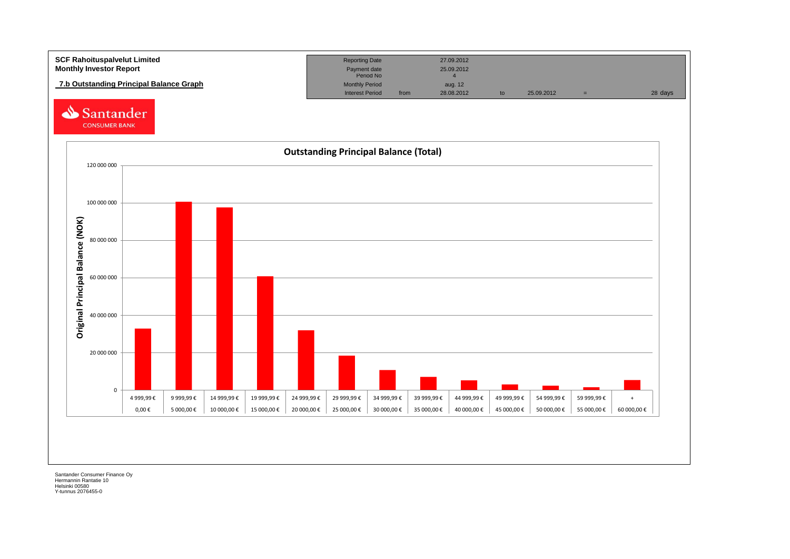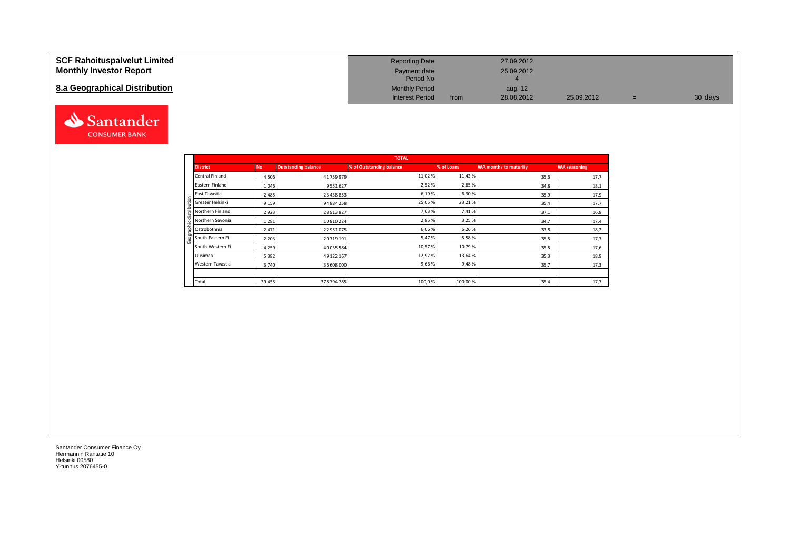### **SCF Rahoituspalvelut Limited Monthly Investor Report**

## **8.a Geographical Distribution**



| <b>Reporting Date</b>     |      | 27.09.2012 |            |   |         |
|---------------------------|------|------------|------------|---|---------|
| Payment date<br>Period No |      | 25.09.2012 |            |   |         |
| Monthly Period            |      | aug. 12    |            |   |         |
| <b>Interest Period</b>    | from | 28.08.2012 | 25.09.2012 | = | 30 days |

|       |                  |           |                            | <b>TOTAL</b>             |            |                              |                     |
|-------|------------------|-----------|----------------------------|--------------------------|------------|------------------------------|---------------------|
|       | <b>District</b>  | <b>No</b> | <b>Outstanding balance</b> | % of Outstanding balance | % of Loans | <b>WA months to maturity</b> | <b>WA seasoning</b> |
|       | Central Finland  | 4506      | 41 759 979                 | 11,02 %                  | 11,42%     | 35,6                         | 17,7                |
|       | Eastern Finland  | 1046      | 9 5 5 1 6 2 7              | 2,52%                    | 2,65 %     | 34,8                         | 18,1                |
|       | East Tavastia    | 2 4 8 5   | 23 438 853                 | 6,19%                    | 6,30%      | 35,9                         | 17,9                |
| utior | Greater Helsinki | 9 1 5 9   | 94 884 258                 | 25,05 %                  | 23,21%     | 35,4                         | 17,7                |
|       | Northern Finland | 2923      | 28 913 827                 | 7,63%                    | 7,41%      | 37,1                         | 16,8                |
|       | Northern Savonia | 1 2 8 1   | 10 810 224                 | 2,85 %                   | 3,25 %     | 34,7                         | 17,4                |
| 횸     | Ostrobothnia     | 2471      | 22 951 075                 | 6,06%                    | 6,26 %     | 33,8                         | 18,2                |
|       | South-Eastern Fi | 2 2 0 3   | 20 719 191                 | 5,47%                    | 5,58%      | 35,5                         | 17,7                |
|       | South-Western Fi | 4 2 5 9   | 40 035 584                 | 10,57%                   | 10,79%     | 35,5                         | 17,6                |
|       | Uusimaa          | 5 3 8 2   | 49 122 167                 | 12,97%                   | 13,64 %    | 35,3                         | 18,9                |
|       | Western Tavastia | 3740      | 36 608 000                 | 9,66%                    | 9,48%      | 35,7                         | 17,3                |
|       |                  |           |                            |                          |            |                              |                     |
|       | Total            | 39 45 5   | 378 794 785                | 100,0%                   | 100,00%    | 35,4                         | 17,7                |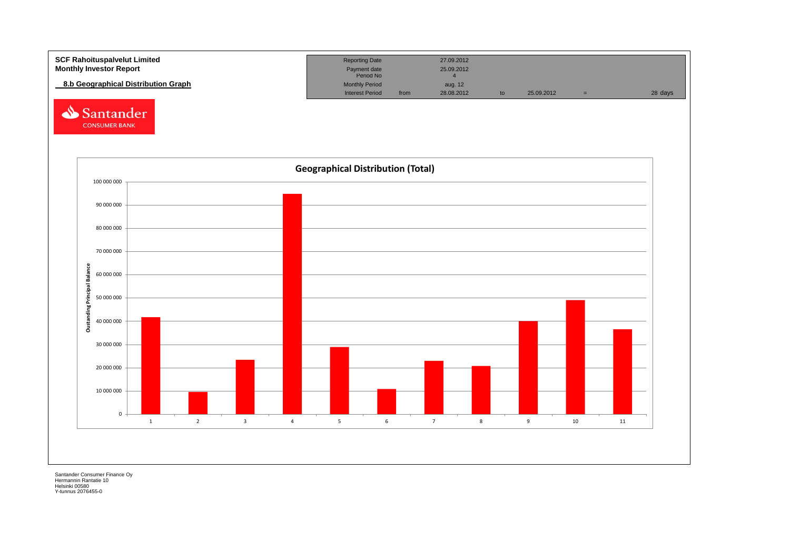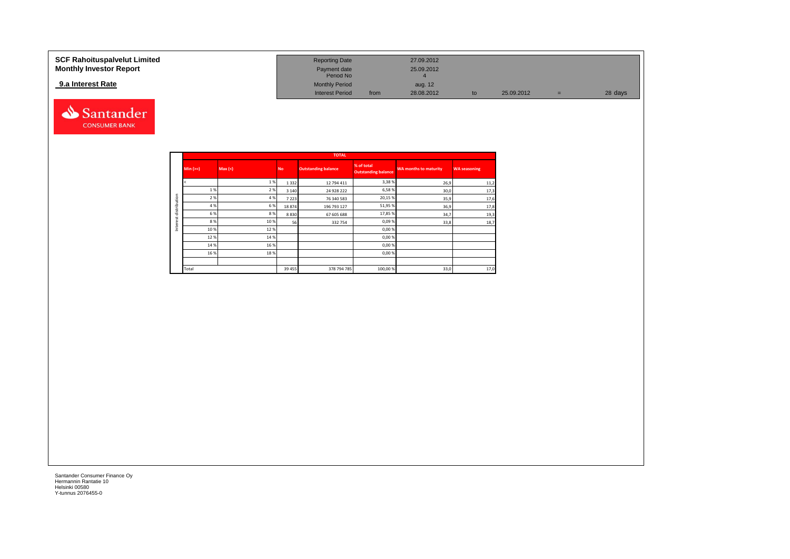### **9.a Interest Rate**



| SCF Rahoituspalvelut Limited   | <b>Reporting Date</b>     |      | 27.09.2012 |    |            |     |         |
|--------------------------------|---------------------------|------|------------|----|------------|-----|---------|
| <b>Monthly Investor Report</b> | Payment date<br>Period No |      | 25.09.2012 |    |            |     |         |
| 9.a Interest Rate              | <b>Monthly Period</b>     |      | aug. 12    |    |            |     |         |
|                                | <b>Interest Period</b>    | from | 28.08.2012 | to | 25.09.2012 | $=$ | 28 days |

|              |            |        |           | <b>TOTAL</b>               |                                          |                              |                     |
|--------------|------------|--------|-----------|----------------------------|------------------------------------------|------------------------------|---------------------|
|              | $Min (>=)$ | Max(<) | <b>No</b> | <b>Outstanding balance</b> | % of total<br><b>Outstanding balance</b> | <b>WA months to maturity</b> | <b>WA seasoning</b> |
|              |            | 1%     | 1 3 3 2   | 12 794 411                 | 3,38%                                    | 26,9                         | 11,2                |
|              | 1 %        | 2 %    | 3 1 4 0   | 24 928 222                 | 6,58%                                    | 30,0                         | 17,3                |
| distribution | 2%         | 4 %    | 7 2 2 3   | 76 340 583                 | 20,15 %                                  | 35,9                         | 17,6                |
|              | 4 %        | 6%     | 18874     | 196 793 127                | 51,95%                                   | 36,9                         | 17,8                |
| tr           | 6 %        | 8%     | 8830      | 67 605 688                 | 17,85 %                                  | 34,7                         | 19,3                |
|              | 8%         | 10 %   | 56        | 332754                     | 0,09%                                    | 33,8                         | 18,7                |
| Inter        | 10%        | 12%    |           |                            | 0,00%                                    |                              |                     |
|              | 12%        | 14 %   |           |                            | 0,00%                                    |                              |                     |
|              | 14 %       | 16 %   |           |                            | 0,00%                                    |                              |                     |
|              | 16 %       | 18%    |           |                            | 0,00%                                    |                              |                     |
|              |            |        |           |                            |                                          |                              |                     |
|              | Total      |        | 39 455    | 378 794 785                | 100,00 %                                 | 33,0                         | 17,0                |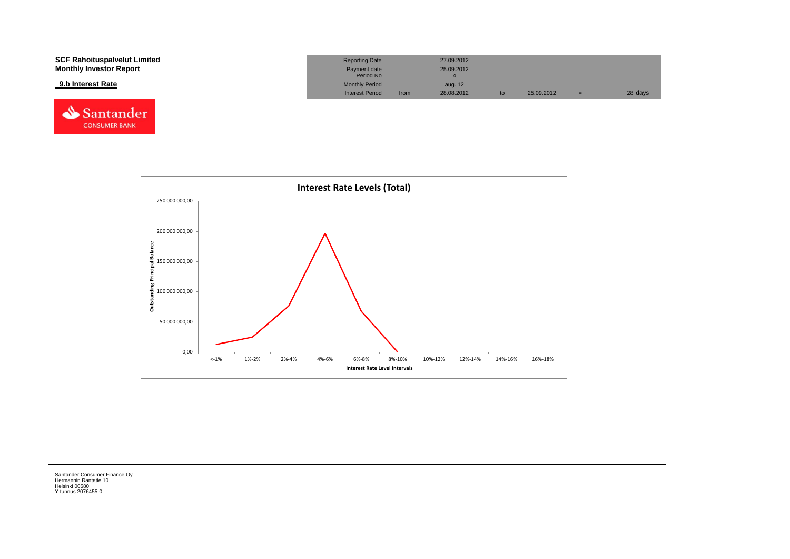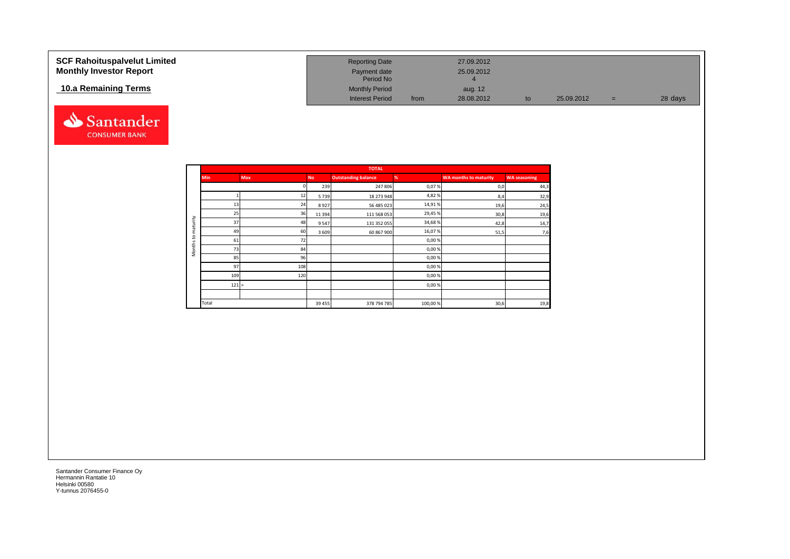| <b>SCF Rahoituspalvelut Limited</b><br><b>Monthly Investor Report</b> | <b>Reporting Date</b><br>Payment date<br>Period No |      | 27.09.2012<br>25.09.2012 |    |            |     |         |
|-----------------------------------------------------------------------|----------------------------------------------------|------|--------------------------|----|------------|-----|---------|
| 10.a Remaining Terms                                                  | <b>Monthly Period</b><br><b>Interest Period</b>    | from | aug. 12<br>28.08.2012    | to | 25.09.2012 | $=$ | 28 days |



|                     |            |            |           | <b>TOTAL</b>               |         |                              |                     |
|---------------------|------------|------------|-----------|----------------------------|---------|------------------------------|---------------------|
|                     | <b>Min</b> | <b>Max</b> | <b>No</b> | <b>Outstanding balance</b> | %       | <b>WA months to maturity</b> | <b>WA seasoning</b> |
|                     |            |            | 239       | 247 806                    | 0,07%   | 0,0                          | 44,3                |
|                     |            | 12         | 5739      | 18 273 948                 | 4,82%   | 8,4                          | 32,9                |
|                     | 13         | 24         | 8927      | 56 485 023                 | 14,91%  | 19,6                         | 24,5                |
|                     | 25         | 36         | 11 3 9 4  | 111 568 053                | 29,45%  | 30,8                         | 19,6                |
| maturity            | 37         | 48         | 9547      | 131 352 055                | 34,68%  | 42,8                         | 14,7                |
|                     | 49         | 60         | 3 6 0 9   | 60 867 900                 | 16,07%  | 51,5                         | 7,6                 |
| 5                   | 61         | 72         |           |                            | 0,00%   |                              |                     |
| Months <sup>-</sup> | 73         | 84         |           |                            | 0,00%   |                              |                     |
|                     | 85         | 96         |           |                            | 0,00%   |                              |                     |
|                     | 97         | 108        |           |                            | 0,00%   |                              |                     |
|                     | 109        | 120        |           |                            | 0,00%   |                              |                     |
|                     | 121 >      |            |           |                            | 0,00%   |                              |                     |
|                     |            |            |           |                            |         |                              |                     |
|                     | Total      |            | 39 45 5   | 378 794 785                | 100,00% | 30,6                         | 19,8                |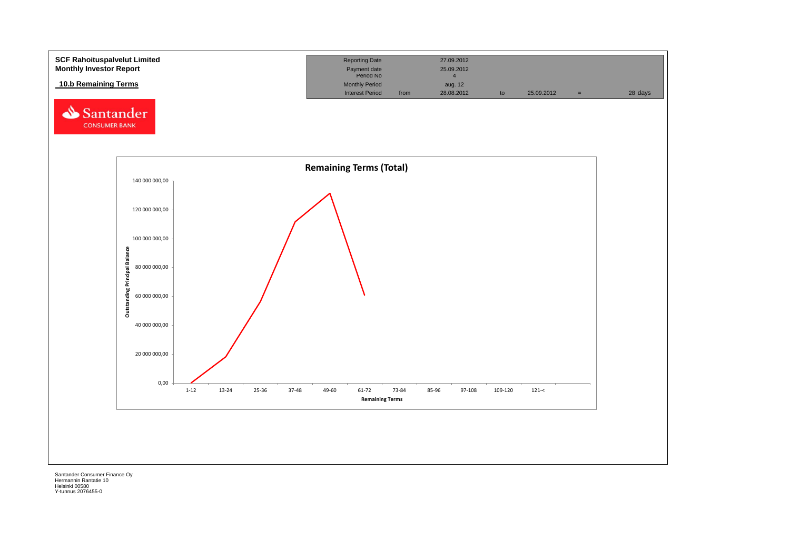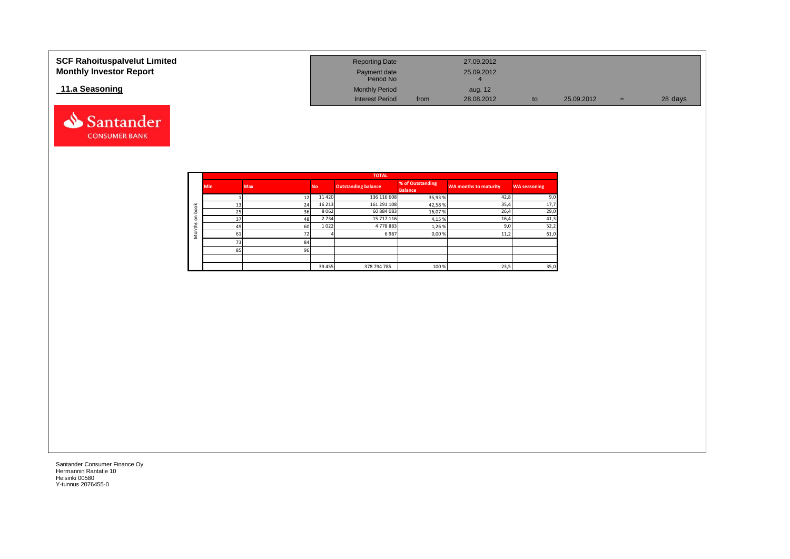| <b>SCF Rahoituspalvelut Limited</b><br><b>Monthly Investor Report</b> | <b>Reporting Date</b><br>Payment date<br>Period No |      | 27.09.2012<br>25.09.2012 |    |            |     |         |
|-----------------------------------------------------------------------|----------------------------------------------------|------|--------------------------|----|------------|-----|---------|
| 11.a Seasoning                                                        | <b>Monthly Period</b><br><b>Interest Period</b>    | from | aug. 12<br>28.08.2012    | to | 25.09.2012 | $=$ | 28 days |

|                        |            |            |           | <b>TOTAL</b>               |                                    |                       |                     |
|------------------------|------------|------------|-----------|----------------------------|------------------------------------|-----------------------|---------------------|
|                        | <b>Min</b> | <b>Max</b> | <b>No</b> | <b>Outstanding balance</b> | % of Outstanding<br><b>Balance</b> | WA months to maturity | <b>WA seasoning</b> |
|                        |            | 12         | 11 4 20   | 136 116 608                | 35,93%                             | 42,8                  | 9,0                 |
| $\breve{\sigma}$       | 13         | 24         | 16 213    | 161 291 108                | 42,58%                             | 35,4                  | 17,7                |
| $\circ$<br>≘           | 25         | 36         | 8062      | 60 884 083                 | 16,07%                             | 26,4                  | 29,0                |
| ⊆<br>$\mathbf{C}$<br>v | 37         | 48         | 2 7 3 4   | 15 717 116                 | 4,15 %                             | 16,4                  | 41,3                |
|                        | 49         | 60         | 1022      | 4778883                    | 1,26%                              | 9,0                   | 52,2                |
| C<br>Σ                 | 61         |            |           | 6987                       | 0,00%                              | 11,2                  | 61,0                |
|                        | 73         | 84         |           |                            |                                    |                       |                     |
|                        | 85         | 96         |           |                            |                                    |                       |                     |
|                        |            |            |           |                            |                                    |                       |                     |
|                        |            |            | 39 455    | 378 794 785                | 100 %                              | 23,5                  | 35,0                |

Santander **CONSUMER BANK**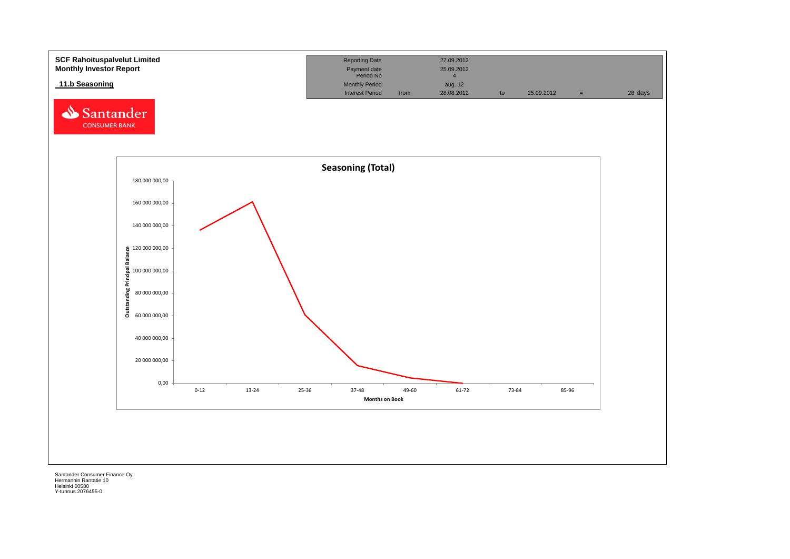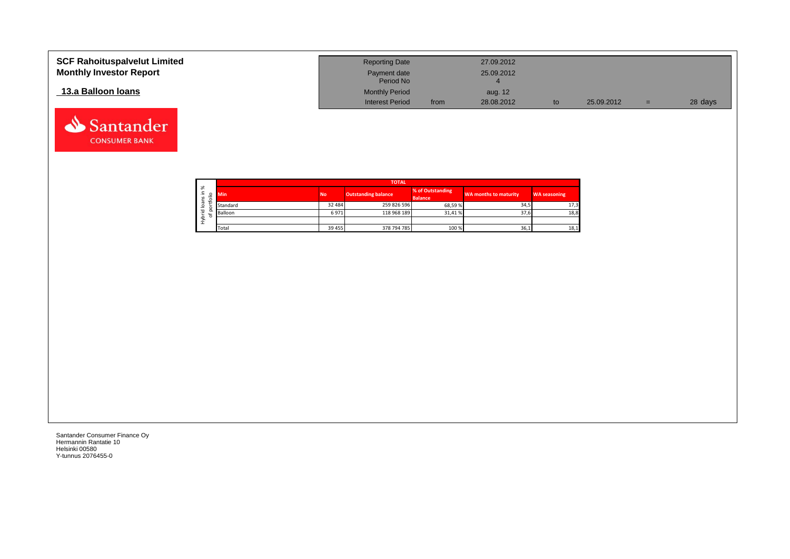| <b>SCF Rahoituspalvelut Limited</b><br><b>Monthly Investor Report</b> | <b>Reporting Date</b><br>Payment date |      | 27.09.2012<br>25.09.2012 |            |     |         |
|-----------------------------------------------------------------------|---------------------------------------|------|--------------------------|------------|-----|---------|
|                                                                       | Period No                             |      |                          |            |     |         |
| 13.a Balloon Ioans                                                    | <b>Monthly Period</b>                 |      | aug. 12                  |            |     |         |
|                                                                       | <b>Interest Period</b>                | from | 28.08.2012               | 25.09.2012 | $=$ | 28 days |

┑

|                   |        |            |           | <b>TOTAL</b>               |                                    |                       |                     |
|-------------------|--------|------------|-----------|----------------------------|------------------------------------|-----------------------|---------------------|
| ৯<br>∸.<br>S<br>∽ | ۰      | <b>Min</b> | <b>No</b> | <b>Outstanding balance</b> | % of Outstanding<br><b>Balance</b> | WA months to maturity | <b>WA seasoning</b> |
| ത<br>∘            |        | Standard   | 32 484    | 259 826 596                | 68.59%                             | 34,5                  | 17,3                |
| 은                 | o<br>۰ | Balloon    | 6971      | 118 968 189                | 31.41%                             | 37,6                  | 18,8                |
| ء<br>Σ            |        |            |           |                            |                                    |                       |                     |
|                   |        | Total      | 39 455    | 378 794 785                | 100 %                              | 36,1                  | 18,1                |

Santander Consumer Finance Oy Hermannin Rantatie 10 Helsinki 00580 Y-tunnus 2076455-0

Santander **CONSUMER BANK**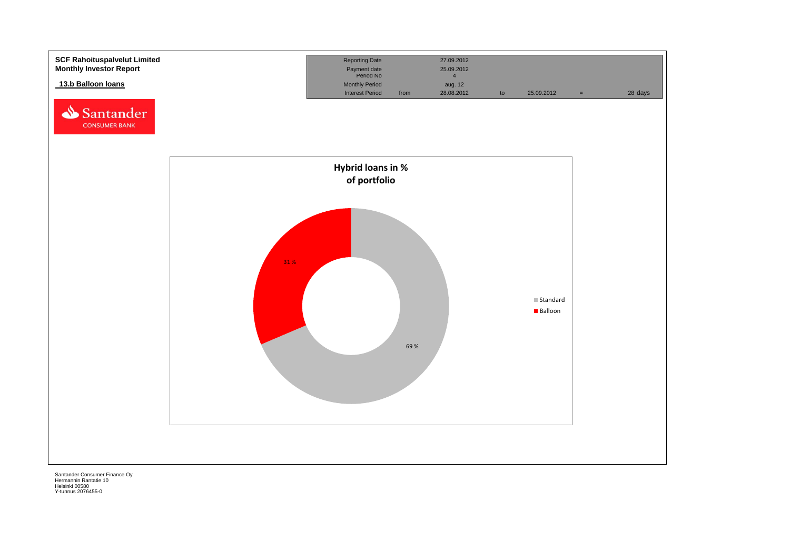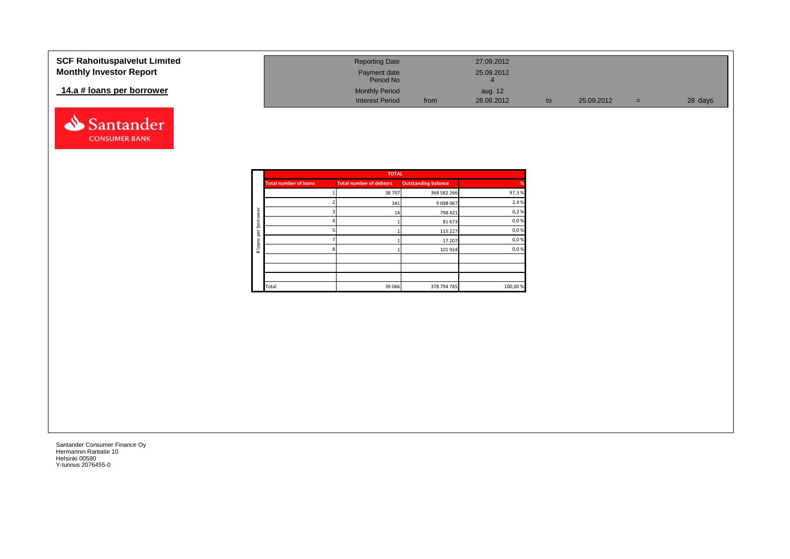| <b>SCF Rahoituspalvelut Limited</b> | <b>Reporting Date</b>     |      | 27.09.2012 |            |     |         |
|-------------------------------------|---------------------------|------|------------|------------|-----|---------|
| <b>Monthly Investor Report</b>      | Payment date<br>Period No |      | 25.09.2012 |            |     |         |
| 14.a # loans per borrower           | <b>Monthly Period</b>     |      | aug. 12    |            |     |         |
|                                     | <b>Interest Period</b>    | from | 28.08.2012 | 25.09.2012 | $=$ | 28 days |



|        |                              | <b>TOTAL</b>                   |                            |         |
|--------|------------------------------|--------------------------------|----------------------------|---------|
|        | <b>Total number of loans</b> | <b>Total number of debtors</b> | <b>Outstanding balance</b> | %       |
|        |                              | 38 707                         | 368 582 266                | 97,3%   |
|        |                              | 341                            | 9 0 9 8 0 6 7              | 2,4%    |
| rower  |                              | 14                             | 798 421                    | 0,2%    |
| bor    |                              |                                | 81 673                     | 0,0%    |
| per    |                              |                                | 115 227                    | 0,0%    |
|        |                              |                                | 17 207                     | 0,0%    |
| #loans |                              |                                | 101 924                    | 0,0%    |
|        |                              |                                |                            |         |
|        |                              |                                |                            |         |
|        |                              |                                |                            |         |
|        | Total                        | 39 066                         | 378 794 785                | 100,00% |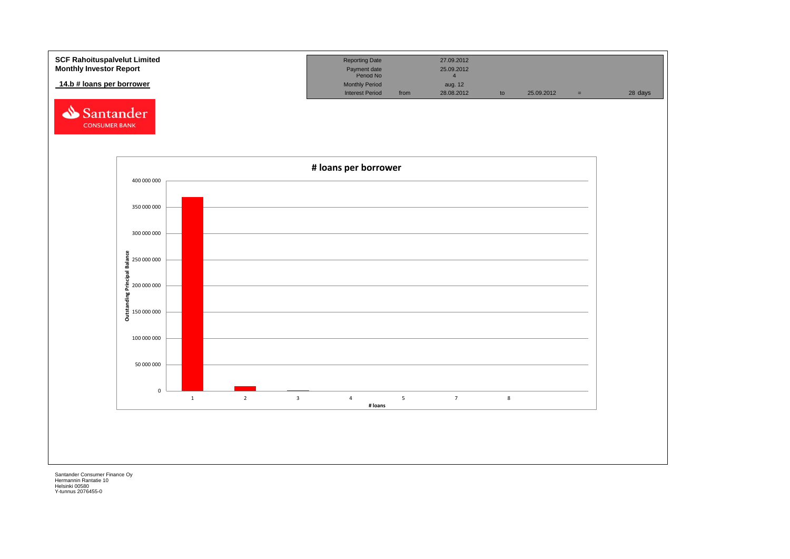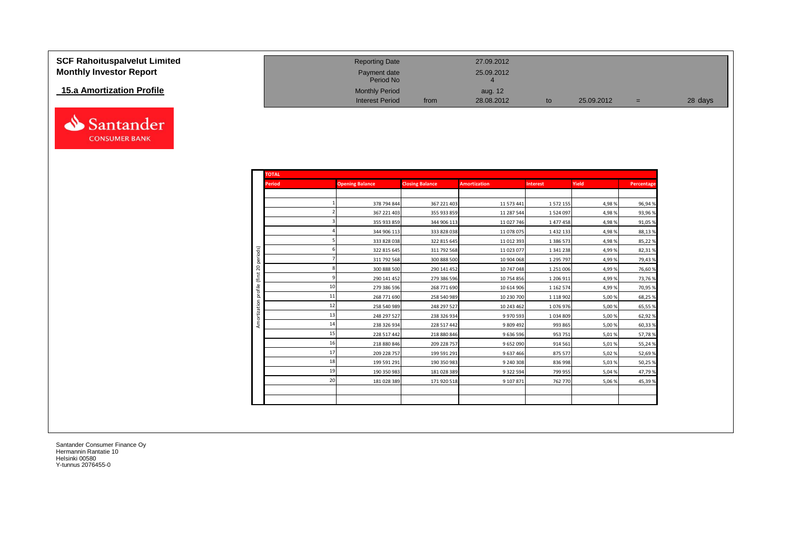| <b>SCF Rahoituspalvelut Limited</b> | <b>Reporting Date</b>     |      | 27.09.2012 |            |     |         |
|-------------------------------------|---------------------------|------|------------|------------|-----|---------|
| <b>Monthly Investor Report</b>      | Payment date<br>Period No |      | 25.09.2012 |            |     |         |
| 15.a Amortization Profile           | <b>Monthly Period</b>     |      | aug. 12    |            |     |         |
|                                     | <b>Interest Period</b>    | from | 28.08.2012 | 25.09.2012 | $=$ | 28 days |



| <b>TOTAL</b>  |                        |                        |                     |                 |        |            |
|---------------|------------------------|------------------------|---------------------|-----------------|--------|------------|
| <b>Period</b> | <b>Opening Balance</b> | <b>Closing Balance</b> | <b>Amortization</b> | <b>Interest</b> | Yield  | Percentage |
|               |                        |                        |                     |                 |        |            |
|               | 378 794 844            | 367 221 403            | 11 573 441          | 1 572 155       | 4,98%  | 96,94%     |
|               | 367 221 403            | 355 933 859            | 11 287 544          | 1 5 2 4 0 9 7   | 4,98%  | 93,96%     |
|               | 355 933 859            | 344 906 113            | 11 027 746          | 1 477 458       | 4,98%  | 91,05%     |
|               | 344 906 113            | 333 828 038            | 11 078 075          | 1 4 3 2 1 3 3   | 4,98%  | 88,13%     |
|               | 333 828 038            | 322 815 645            | 11 012 393          | 1 386 573       | 4,98%  | 85,22%     |
|               | 322 815 645            | 311 792 568            | 11 023 077          | 1 341 238       | 4,99%  | 82,31%     |
|               | 311 792 568            | 300 888 500            | 10 904 068          | 1 295 797       | 4,99%  | 79,43%     |
|               | 300 888 500            | 290 141 452            | 10 747 048          | 1 251 006       | 4,99%  | 76,60%     |
|               | 290 141 452            | 279 386 596            | 10 754 856          | 1 206 911       | 4,99%  | 73,76%     |
| 10            | 279 386 596            | 268 771 690            | 10 614 906          | 1 1 6 2 5 7 4   | 4,99%  | 70,95%     |
| 11            | 268 771 690            | 258 540 989            | 10 230 700          | 1 1 1 8 9 0 2   | 5,00 % | 68,25%     |
| 12            | 258 540 989            | 248 297 527            | 10 243 462          | 1076976         | 5,00 % | 65,55%     |
| 13            | 248 297 527            | 238 326 934            | 9970593             | 1034809         | 5,00 % | 62,92%     |
| 14            | 238 326 934            | 228 517 442            | 9 809 492           | 993 865         | 5,00 % | 60,33%     |
| 15            | 228 517 442            | 218 880 846            | 9 636 596           | 953 751         | 5,01%  | 57,78%     |
| 16            | 218 880 846            | 209 228 757            | 9652090             | 914 561         | 5,01%  | 55,24%     |
| 17            | 209 228 757            | 199 591 291            | 9637466             | 875 577         | 5,02%  | 52,69%     |
| 18            | 199 591 291            | 190 350 983            | 9 240 308           | 836 998         | 5,03 % | 50,25%     |
| 19            | 190 350 983            | 181 028 389            | 9 3 2 2 5 9 4       | 799 955         | 5,04 % | 47,79%     |
| 20            | 181 028 389            | 171 920 518            | 9 107 871           | 762 770         | 5,06 % | 45,39%     |
|               |                        |                        |                     |                 |        |            |
|               |                        |                        |                     |                 |        |            |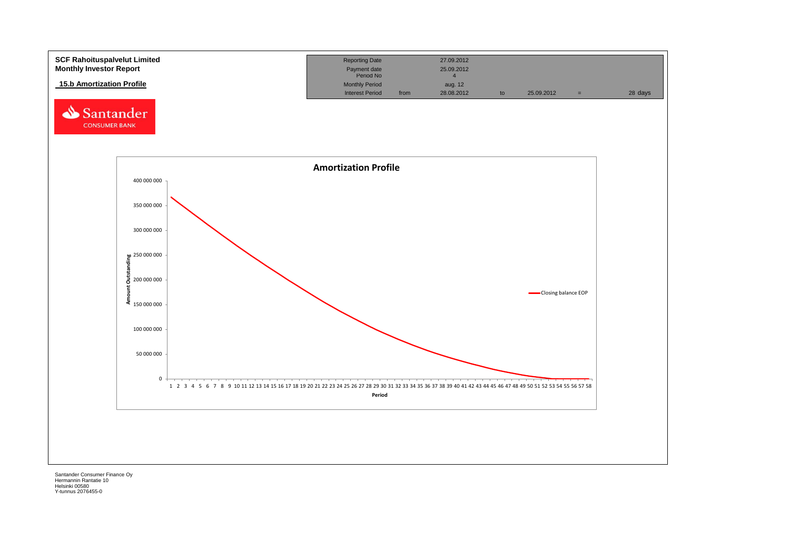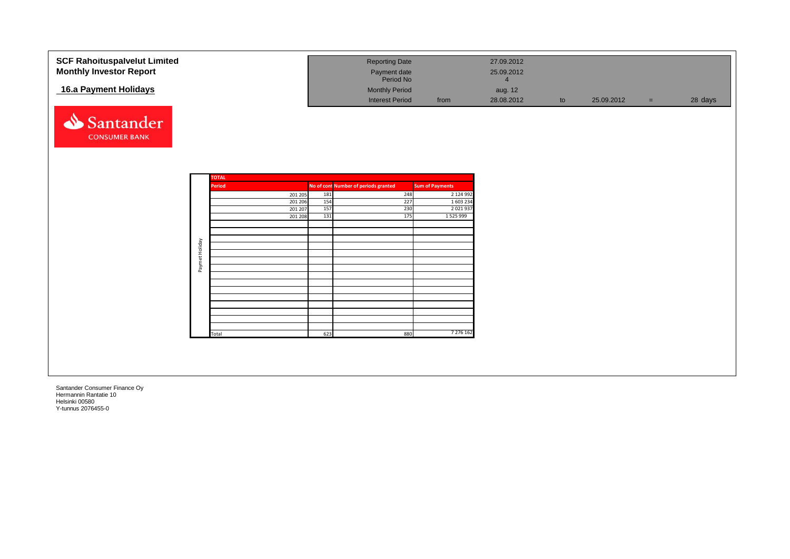| <b>SCF Rahoituspalvelut Limited</b><br><b>Monthly Investor Report</b> |                |                               |                    |            | <b>Reporting Date</b><br>Payment date<br>Period No |                        | 27.09.2012<br>25.09.2012<br>$\overline{4}$ |    |            |          |         |
|-----------------------------------------------------------------------|----------------|-------------------------------|--------------------|------------|----------------------------------------------------|------------------------|--------------------------------------------|----|------------|----------|---------|
| 16.a Payment Holidays                                                 |                |                               |                    |            | <b>Monthly Period</b><br><b>Interest Period</b>    | from                   | aug. 12<br>28.08.2012                      | to | 25.09.2012 | $\equiv$ | 28 days |
| Santander<br><b>CONSUMER BANK</b>                                     |                |                               |                    |            |                                                    |                        |                                            |    |            |          |         |
|                                                                       |                |                               |                    |            |                                                    |                        |                                            |    |            |          |         |
|                                                                       |                | <b>TOTAL</b><br><b>Period</b> |                    |            | No of cont Number of periods granted               | <b>Sum of Payments</b> |                                            |    |            |          |         |
|                                                                       |                |                               | 201 205            | 181        | 248                                                | 2 124 992              |                                            |    |            |          |         |
|                                                                       |                |                               | 201 206<br>201 207 | 154<br>157 | 227<br>230                                         | 1 603 234<br>2021937   |                                            |    |            |          |         |
|                                                                       |                |                               | 201 208            | 131        | 175                                                | 1 5 2 5 9 9 9 9        |                                            |    |            |          |         |
|                                                                       |                |                               |                    |            |                                                    |                        |                                            |    |            |          |         |
|                                                                       |                |                               |                    |            |                                                    |                        |                                            |    |            |          |         |
|                                                                       |                |                               |                    |            |                                                    |                        |                                            |    |            |          |         |
|                                                                       | Paymet Holiday |                               |                    |            |                                                    |                        |                                            |    |            |          |         |
|                                                                       |                |                               |                    |            |                                                    |                        |                                            |    |            |          |         |
|                                                                       |                |                               |                    |            |                                                    |                        |                                            |    |            |          |         |
|                                                                       |                |                               |                    |            |                                                    |                        |                                            |    |            |          |         |
|                                                                       |                |                               |                    |            |                                                    |                        |                                            |    |            |          |         |
|                                                                       |                |                               |                    |            |                                                    |                        |                                            |    |            |          |         |
|                                                                       |                |                               |                    |            |                                                    |                        |                                            |    |            |          |         |
|                                                                       |                |                               |                    |            |                                                    |                        |                                            |    |            |          |         |
|                                                                       |                | Total                         |                    | 623        | 880                                                | 7 276 162              |                                            |    |            |          |         |
|                                                                       |                |                               |                    |            |                                                    |                        |                                            |    |            |          |         |
|                                                                       |                |                               |                    |            |                                                    |                        |                                            |    |            |          |         |
|                                                                       |                |                               |                    |            |                                                    |                        |                                            |    |            |          |         |
|                                                                       |                |                               |                    |            |                                                    |                        |                                            |    |            |          |         |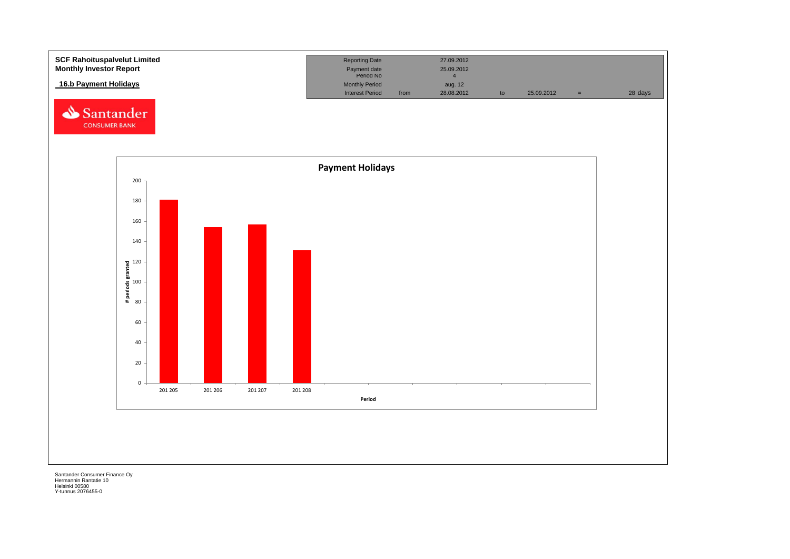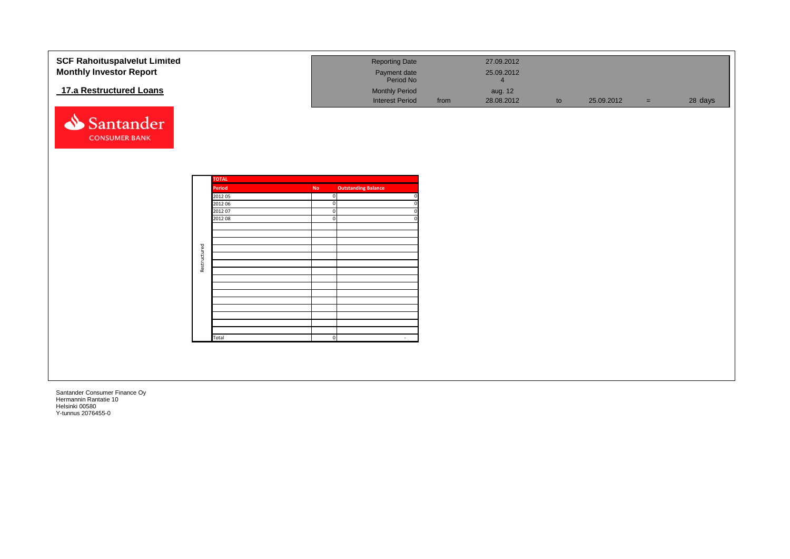| 17.a Restructured Loans<br><b>Monthly Period</b><br>aug. 12<br><b>Interest Period</b><br>28 days<br>28.08.2012<br>25.09.2012<br>from<br>to<br>$=$ $\,$<br>Santander<br><b>CONSUMER BANK</b><br><b>TOTAL</b><br>Period<br><b>Outstanding Balance</b><br>No<br>2012 05<br>$\mathbf{0}$<br>2012 06<br>$\mathbf{0}$<br>2012 07<br>$\mathbf{0}$<br>2012 08<br>$\Omega$<br>Restructured<br>Total<br>$\Omega$<br>$\sim$ | <b>SCF Rahoituspalvelut Limited</b><br><b>Monthly Investor Report</b> |  | <b>Reporting Date</b><br>Payment date<br>Period No | 27.09.2012<br>25.09.2012<br>$\overline{4}$ |  |  |
|------------------------------------------------------------------------------------------------------------------------------------------------------------------------------------------------------------------------------------------------------------------------------------------------------------------------------------------------------------------------------------------------------------------|-----------------------------------------------------------------------|--|----------------------------------------------------|--------------------------------------------|--|--|
|                                                                                                                                                                                                                                                                                                                                                                                                                  |                                                                       |  |                                                    |                                            |  |  |
|                                                                                                                                                                                                                                                                                                                                                                                                                  |                                                                       |  |                                                    |                                            |  |  |
|                                                                                                                                                                                                                                                                                                                                                                                                                  |                                                                       |  |                                                    |                                            |  |  |
|                                                                                                                                                                                                                                                                                                                                                                                                                  |                                                                       |  |                                                    |                                            |  |  |
|                                                                                                                                                                                                                                                                                                                                                                                                                  |                                                                       |  |                                                    |                                            |  |  |
|                                                                                                                                                                                                                                                                                                                                                                                                                  |                                                                       |  |                                                    |                                            |  |  |
|                                                                                                                                                                                                                                                                                                                                                                                                                  |                                                                       |  |                                                    |                                            |  |  |
|                                                                                                                                                                                                                                                                                                                                                                                                                  |                                                                       |  |                                                    |                                            |  |  |
|                                                                                                                                                                                                                                                                                                                                                                                                                  |                                                                       |  |                                                    |                                            |  |  |
|                                                                                                                                                                                                                                                                                                                                                                                                                  |                                                                       |  |                                                    |                                            |  |  |
|                                                                                                                                                                                                                                                                                                                                                                                                                  |                                                                       |  |                                                    |                                            |  |  |
|                                                                                                                                                                                                                                                                                                                                                                                                                  |                                                                       |  |                                                    |                                            |  |  |
|                                                                                                                                                                                                                                                                                                                                                                                                                  |                                                                       |  |                                                    |                                            |  |  |
|                                                                                                                                                                                                                                                                                                                                                                                                                  |                                                                       |  |                                                    |                                            |  |  |
|                                                                                                                                                                                                                                                                                                                                                                                                                  |                                                                       |  |                                                    |                                            |  |  |
|                                                                                                                                                                                                                                                                                                                                                                                                                  |                                                                       |  |                                                    |                                            |  |  |
|                                                                                                                                                                                                                                                                                                                                                                                                                  |                                                                       |  |                                                    |                                            |  |  |
|                                                                                                                                                                                                                                                                                                                                                                                                                  |                                                                       |  |                                                    |                                            |  |  |
|                                                                                                                                                                                                                                                                                                                                                                                                                  |                                                                       |  |                                                    |                                            |  |  |
|                                                                                                                                                                                                                                                                                                                                                                                                                  |                                                                       |  |                                                    |                                            |  |  |
|                                                                                                                                                                                                                                                                                                                                                                                                                  |                                                                       |  |                                                    |                                            |  |  |
|                                                                                                                                                                                                                                                                                                                                                                                                                  |                                                                       |  |                                                    |                                            |  |  |
|                                                                                                                                                                                                                                                                                                                                                                                                                  |                                                                       |  |                                                    |                                            |  |  |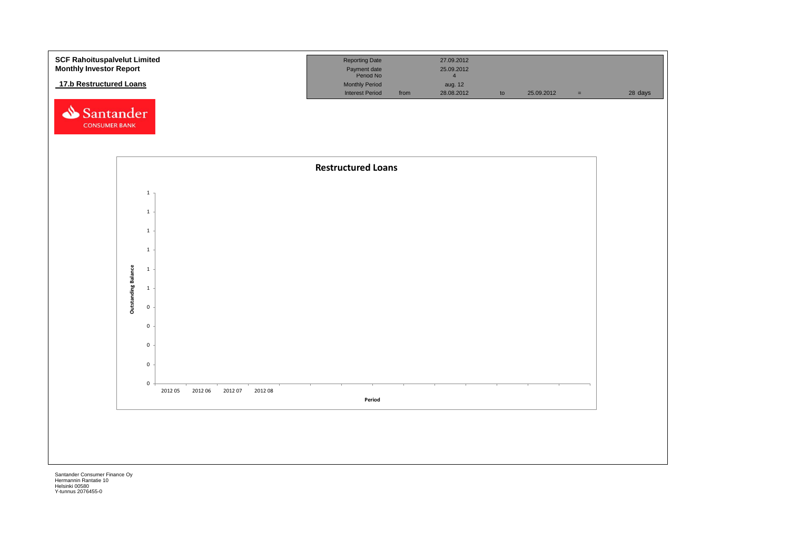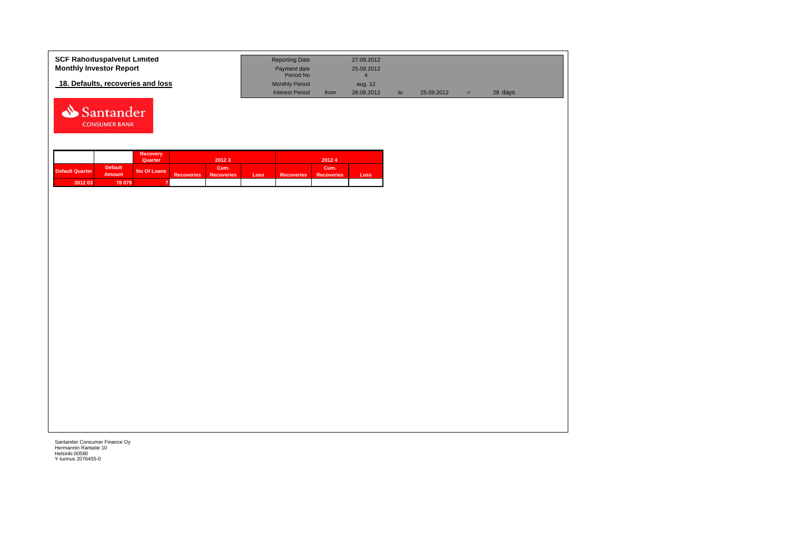| <b>SCF Rahoituspalvelut Limited</b> | <b>Reporting Date</b>     |      | 27.09.2012 |            |   |         |
|-------------------------------------|---------------------------|------|------------|------------|---|---------|
| <b>Monthly Investor Report</b>      | Payment date<br>Period No |      | 25.09.2012 |            |   |         |
| 18. Defaults, recoveries and loss   | <b>Monthly Period</b>     |      | aug. 12    |            |   |         |
|                                     | <b>Interest Period</b>    | from | 28.08.2012 | 25.09.2012 | = | 28 days |



|                        |                                 | <b>Recovery</b> |                   |                           |      |                   |                           |       |
|------------------------|---------------------------------|-----------------|-------------------|---------------------------|------|-------------------|---------------------------|-------|
|                        |                                 | Quarter         |                   | 20123                     |      |                   | 20124                     |       |
| <b>Default Quarter</b> | <b>Default</b><br><b>Amount</b> | No Of Loans     | <b>Recoveries</b> | Cum.<br><b>Recoveries</b> | Loss | <b>Recoveries</b> | Cum.<br><b>Recoveries</b> | Loss. |
| 2012 03                | 78 079                          |                 |                   |                           |      |                   |                           |       |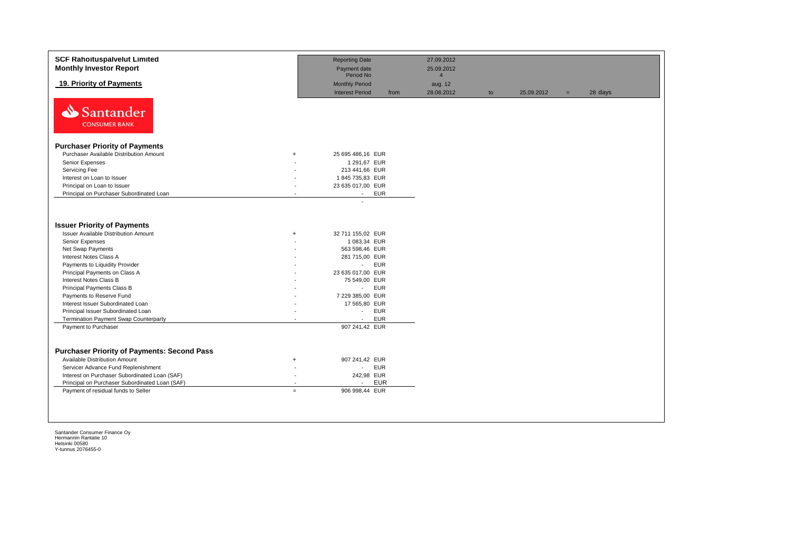| <b>SCF Rahoituspalvelut Limited</b><br><b>Monthly Investor Report</b>                                |           | <b>Reporting Date</b><br>Payment date                       |      | 27.09.2012<br>25.09.2012 |    |            |     |         |
|------------------------------------------------------------------------------------------------------|-----------|-------------------------------------------------------------|------|--------------------------|----|------------|-----|---------|
|                                                                                                      |           | Period No                                                   |      | $\overline{4}$           |    |            |     |         |
| 19. Priority of Payments                                                                             |           | <b>Monthly Period</b><br><b>Interest Period</b>             | from | aug. 12<br>28.08.2012    | to | 25.09.2012 | $=$ | 28 days |
| Santander<br><b>CONSUMER BANK</b>                                                                    |           |                                                             |      |                          |    |            |     |         |
| <b>Purchaser Priority of Payments</b>                                                                |           |                                                             |      |                          |    |            |     |         |
| Purchaser Available Distribution Amount                                                              | $\ddot{}$ | 25 695 486,16 EUR                                           |      |                          |    |            |     |         |
| Senior Expenses                                                                                      |           | 1 291,67 EUR                                                |      |                          |    |            |     |         |
| Servicing Fee                                                                                        |           | 213 441,66 EUR                                              |      |                          |    |            |     |         |
| Interest on Loan to Issuer                                                                           |           | 1845 735,83 EUR                                             |      |                          |    |            |     |         |
| Principal on Loan to Issuer                                                                          |           | 23 635 017,00 EUR                                           |      |                          |    |            |     |         |
| Principal on Purchaser Subordinated Loan                                                             |           | <b>EUR</b><br>$\sim$                                        |      |                          |    |            |     |         |
| <b>Issuer Priority of Payments</b><br><b>Issuer Available Distribution Amount</b><br>Senior Expenses | $\ddot{}$ | 32 711 155,02 EUR<br>1 083,34 EUR                           |      |                          |    |            |     |         |
| Net Swap Payments                                                                                    |           | 563 598,46 EUR                                              |      |                          |    |            |     |         |
| Interest Notes Class A<br>Payments to Liquidity Provider                                             |           | 281 715,00 EUR<br><b>EUR</b><br>$\mathcal{L}_{\mathcal{A}}$ |      |                          |    |            |     |         |
| Principal Payments on Class A                                                                        |           | 23 635 017,00 EUR                                           |      |                          |    |            |     |         |
| Interest Notes Class B                                                                               |           | 75 549,00 EUR                                               |      |                          |    |            |     |         |
| Principal Payments Class B                                                                           |           | <b>EUR</b><br>$\sim 10$                                     |      |                          |    |            |     |         |
| Payments to Reserve Fund                                                                             |           | 7 229 385,00 EUR                                            |      |                          |    |            |     |         |
| Interest Issuer Subordinated Loan                                                                    |           | 17 565,80 EUR                                               |      |                          |    |            |     |         |
| Principal Issuer Subordinated Loan                                                                   |           | <b>EUR</b><br>$\sim$                                        |      |                          |    |            |     |         |
| Termination Payment Swap Counterparty                                                                |           | <b>EUR</b><br>$\blacksquare$                                |      |                          |    |            |     |         |
| Payment to Purchaser                                                                                 |           | 907 241,42 EUR                                              |      |                          |    |            |     |         |
|                                                                                                      |           |                                                             |      |                          |    |            |     |         |
| <b>Purchaser Priority of Payments: Second Pass</b>                                                   |           |                                                             |      |                          |    |            |     |         |
|                                                                                                      |           |                                                             |      |                          |    |            |     |         |
| <b>Available Distribution Amount</b>                                                                 | $+$       | 907 241,42 EUR<br><b>EUR</b><br>$\sim$                      |      |                          |    |            |     |         |
| Servicer Advance Fund Replenishment<br>Interest on Purchaser Subordinated Loan (SAF)                 | $\sim$    | 242,98 EUR                                                  |      |                          |    |            |     |         |
| Principal on Purchaser Subordinated Loan (SAF)                                                       |           | EUR<br>$\mathbf{r}$                                         |      |                          |    |            |     |         |
|                                                                                                      | $=$       | 906 998,44 EUR                                              |      |                          |    |            |     |         |
| Payment of residual funds to Seller                                                                  |           |                                                             |      |                          |    |            |     |         |
|                                                                                                      |           |                                                             |      |                          |    |            |     |         |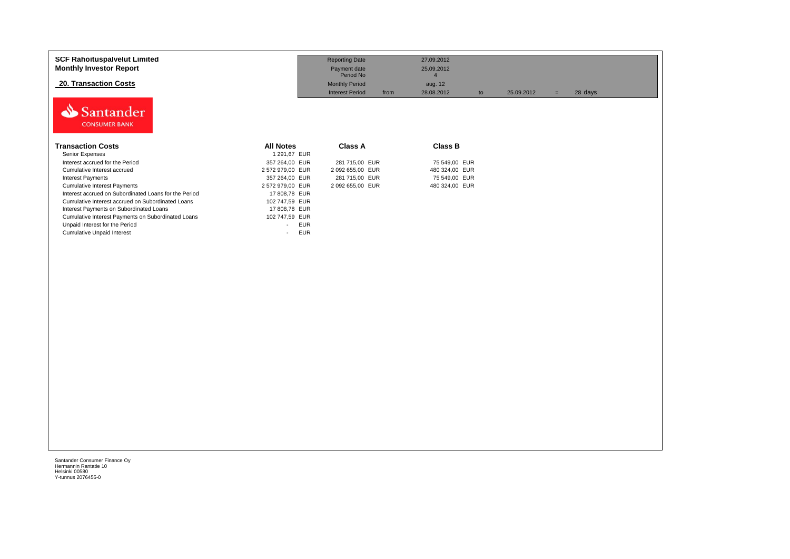| 25.09.2012<br>$=$ | 28 days |
|-------------------|---------|
|                   |         |
|                   |         |
|                   |         |
|                   |         |
|                   |         |
|                   |         |
|                   |         |
|                   |         |
|                   |         |
|                   |         |
|                   |         |
|                   |         |
|                   |         |
|                   |         |
|                   |         |
|                   |         |
|                   |         |
|                   |         |
|                   |         |
|                   |         |
|                   |         |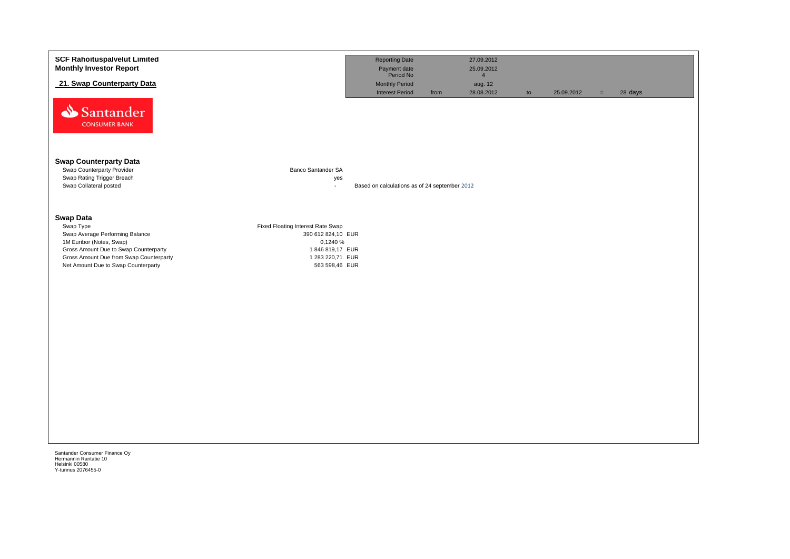| <b>SCF Rahoituspalvelut Limited</b><br><b>Monthly Investor Report</b>              |                                     | <b>Reporting Date</b><br>Payment date<br>Period No |      | 27.09.2012<br>25.09.2012                |    |            |     |         |
|------------------------------------------------------------------------------------|-------------------------------------|----------------------------------------------------|------|-----------------------------------------|----|------------|-----|---------|
| 21. Swap Counterparty Data                                                         |                                     | <b>Monthly Period</b><br><b>Interest Period</b>    | from | $\overline{4}$<br>aug. 12<br>28.08.2012 | to | 25.09.2012 | $=$ | 28 days |
| Santander<br><b>CONSUMER BANK</b>                                                  |                                     |                                                    |      |                                         |    |            |     |         |
| <b>Swap Counterparty Data</b>                                                      |                                     |                                                    |      |                                         |    |            |     |         |
| Swap Counterparty Provider<br>Swap Rating Trigger Breach<br>Swap Collateral posted | Banco Santander SA<br>yes<br>$\sim$ | Based on calculations as of 24 september 2012      |      |                                         |    |            |     |         |
| <b>Swap Data</b><br>Swap Type                                                      | Fixed Floating Interest Rate Swap   |                                                    |      |                                         |    |            |     |         |
| Swap Average Performing Balance<br>1M Euribor (Notes, Swap)                        | 390 612 824,10 EUR<br>0,1240 %      |                                                    |      |                                         |    |            |     |         |
| Gross Amount Due to Swap Counterparty<br>Gross Amount Due from Swap Counterparty   | 1846819,17 EUR<br>1 283 220,71 EUR  |                                                    |      |                                         |    |            |     |         |
| Net Amount Due to Swap Counterparty                                                | 563 598,46 EUR                      |                                                    |      |                                         |    |            |     |         |
|                                                                                    |                                     |                                                    |      |                                         |    |            |     |         |
|                                                                                    |                                     |                                                    |      |                                         |    |            |     |         |
|                                                                                    |                                     |                                                    |      |                                         |    |            |     |         |
|                                                                                    |                                     |                                                    |      |                                         |    |            |     |         |
|                                                                                    |                                     |                                                    |      |                                         |    |            |     |         |
|                                                                                    |                                     |                                                    |      |                                         |    |            |     |         |
|                                                                                    |                                     |                                                    |      |                                         |    |            |     |         |
|                                                                                    |                                     |                                                    |      |                                         |    |            |     |         |
|                                                                                    |                                     |                                                    |      |                                         |    |            |     |         |
|                                                                                    |                                     |                                                    |      |                                         |    |            |     |         |
|                                                                                    |                                     |                                                    |      |                                         |    |            |     |         |
| Santander Consumer Finance Oy                                                      |                                     |                                                    |      |                                         |    |            |     |         |
| Hermannin Rantatie 10<br>Helsinki 00580<br>Y-tunnus 2076455-0                      |                                     |                                                    |      |                                         |    |            |     |         |